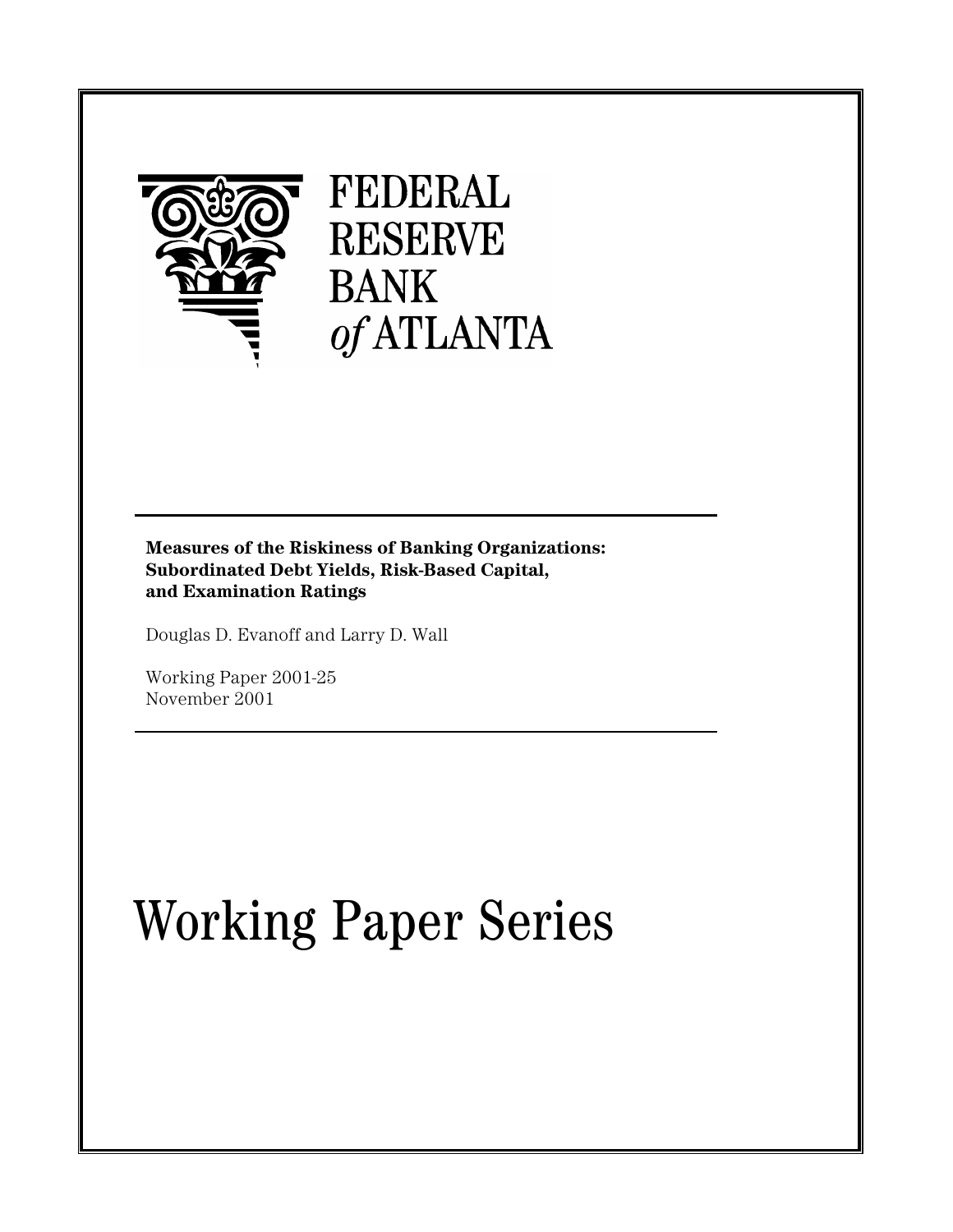

## FEDERAL **RESERVE BANK** of ATLANTA

**Measures of the Riskiness of Banking Organizations: Subordinated Debt Yields, Risk-Based Capital, and Examination Ratings**

Douglas D. Evanoff and Larry D. Wall

Working Paper 2001-25 November 2001

# Working Paper Series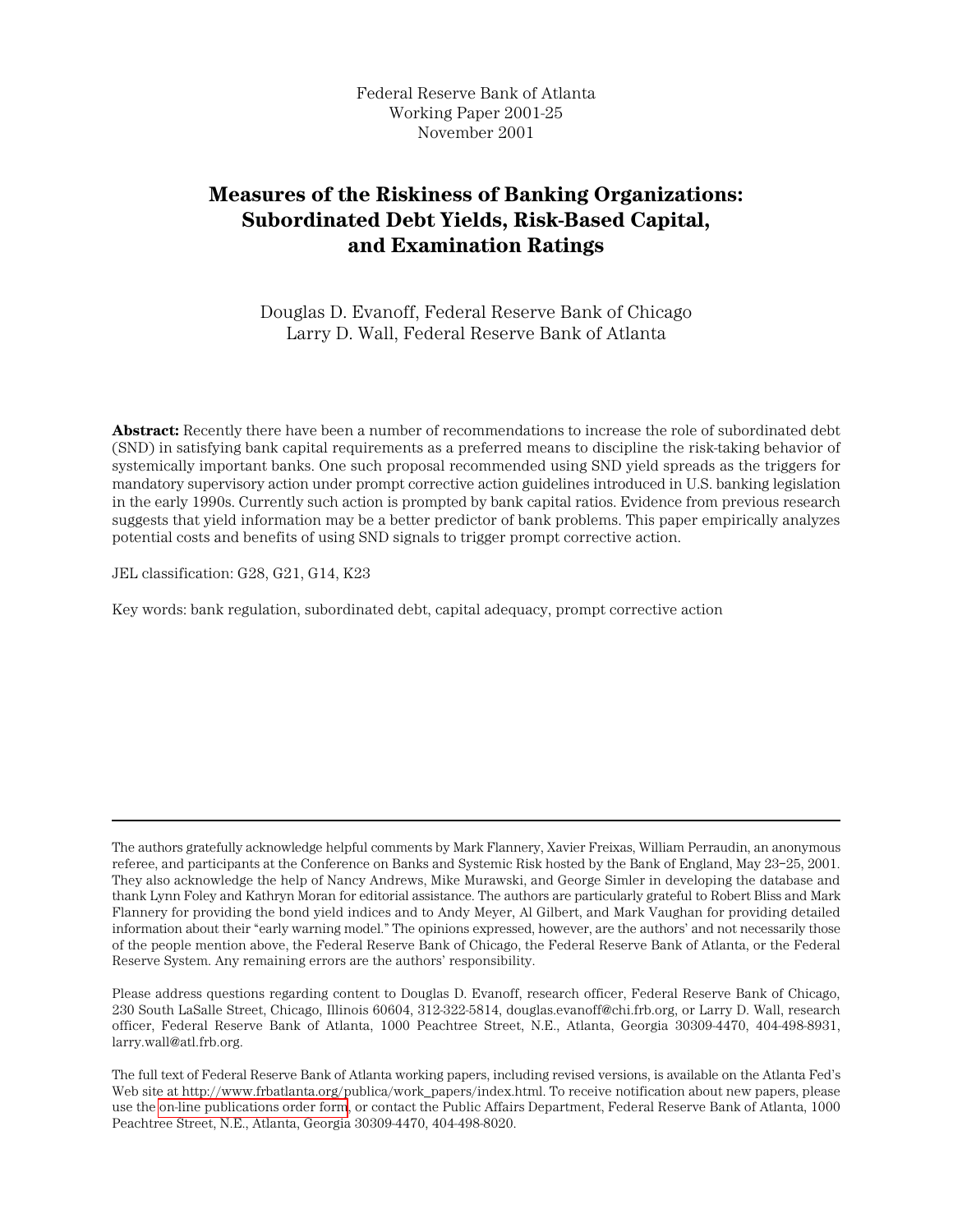Federal Reserve Bank of Atlanta Working Paper 2001-25 November 2001

## **Measures of the Riskiness of Banking Organizations: Subordinated Debt Yields, Risk-Based Capital, and Examination Ratings**

Douglas D. Evanoff, Federal Reserve Bank of Chicago Larry D. Wall, Federal Reserve Bank of Atlanta

**Abstract:** Recently there have been a number of recommendations to increase the role of subordinated debt (SND) in satisfying bank capital requirements as a preferred means to discipline the risk-taking behavior of systemically important banks. One such proposal recommended using SND yield spreads as the triggers for mandatory supervisory action under prompt corrective action guidelines introduced in U.S. banking legislation in the early 1990s. Currently such action is prompted by bank capital ratios. Evidence from previous research suggests that yield information may be a better predictor of bank problems. This paper empirically analyzes potential costs and benefits of using SND signals to trigger prompt corrective action.

JEL classification: G28, G21, G14, K23

Key words: bank regulation, subordinated debt, capital adequacy, prompt corrective action

The authors gratefully acknowledge helpful comments by Mark Flannery, Xavier Freixas, William Perraudin, an anonymous referee, and participants at the Conference on Banks and Systemic Risk hosted by the Bank of England, May 23–25, 2001. They also acknowledge the help of Nancy Andrews, Mike Murawski, and George Simler in developing the database and thank Lynn Foley and Kathryn Moran for editorial assistance. The authors are particularly grateful to Robert Bliss and Mark Flannery for providing the bond yield indices and to Andy Meyer, Al Gilbert, and Mark Vaughan for providing detailed information about their "early warning model." The opinions expressed, however, are the authors' and not necessarily those of the people mention above, the Federal Reserve Bank of Chicago, the Federal Reserve Bank of Atlanta, or the Federal Reserve System. Any remaining errors are the authors' responsibility.

Please address questions regarding content to Douglas D. Evanoff, research officer, Federal Reserve Bank of Chicago, 230 South LaSalle Street, Chicago, Illinois 60604, 312-322-5814, douglas.evanoff@chi.frb.org, or Larry D. Wall, research officer, Federal Reserve Bank of Atlanta, 1000 Peachtree Street, N.E., Atlanta, Georgia 30309-4470, 404-498-8931, larry.wall@atl.frb.org.

The full text of Federal Reserve Bank of Atlanta working papers, including revised versions, is available on the Atlanta Fed's Web site at http://www.frbatlanta.org/publica/work\_papers/index.html. To receive notification about new papers, please use the [on-line publications order form](http://www.frbatlanta.org/frbatlanta/publica/pubs_ordform.cfm), or contact the Public Affairs Department, Federal Reserve Bank of Atlanta, 1000 Peachtree Street, N.E., Atlanta, Georgia 30309-4470, 404-498-8020.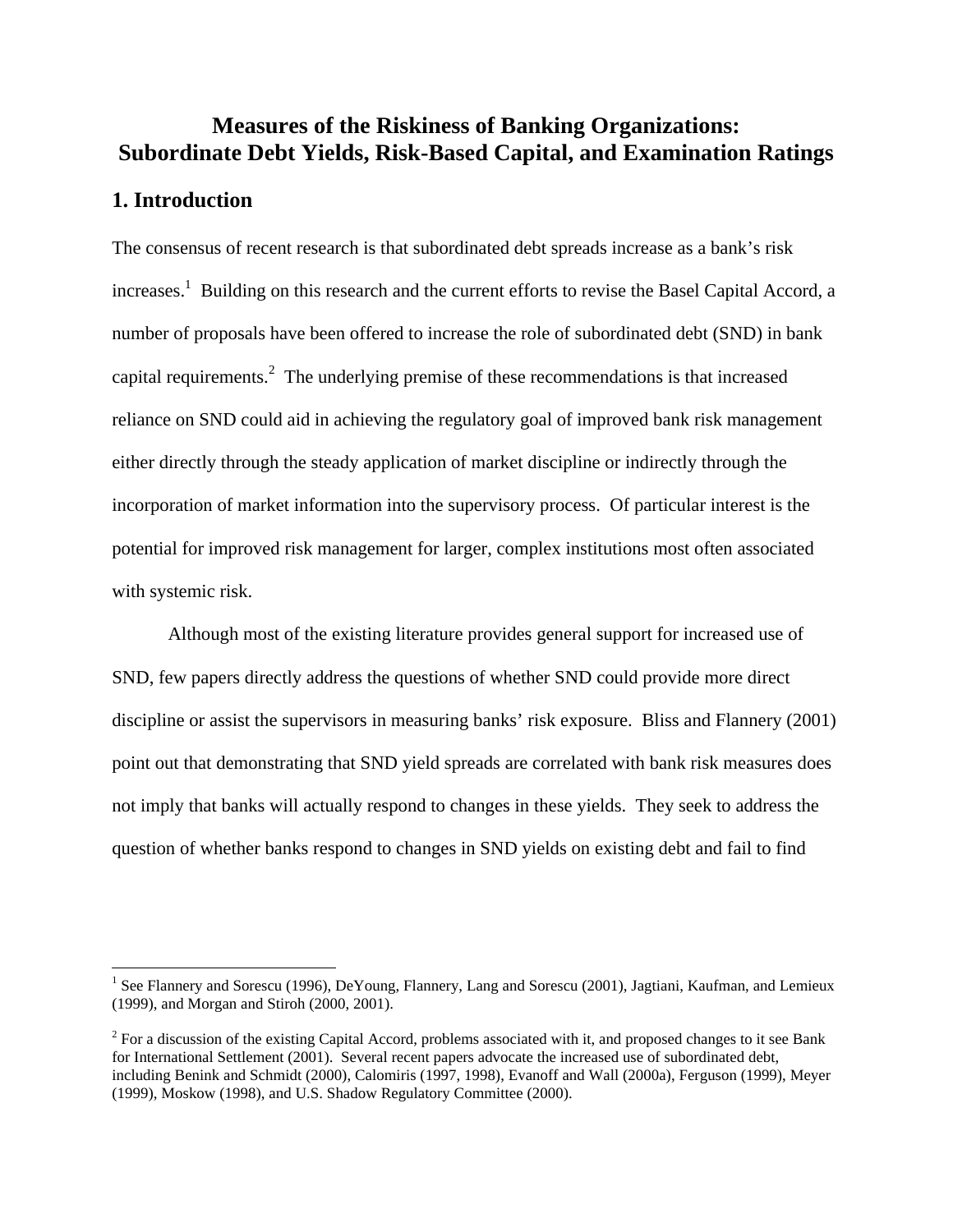## **Measures of the Riskiness of Banking Organizations: Subordinate Debt Yields, Risk-Based Capital, and Examination Ratings**

#### **1. Introduction**

 $\overline{a}$ 

The consensus of recent research is that subordinated debt spreads increase as a bank's risk increases.<sup>1</sup> Building on this research and the current efforts to revise the Basel Capital Accord, a number of proposals have been offered to increase the role of subordinated debt (SND) in bank capital requirements. $2$  The underlying premise of these recommendations is that increased reliance on SND could aid in achieving the regulatory goal of improved bank risk management either directly through the steady application of market discipline or indirectly through the incorporation of market information into the supervisory process. Of particular interest is the potential for improved risk management for larger, complex institutions most often associated with systemic risk.

Although most of the existing literature provides general support for increased use of SND, few papers directly address the questions of whether SND could provide more direct discipline or assist the supervisors in measuring banks' risk exposure. Bliss and Flannery (2001) point out that demonstrating that SND yield spreads are correlated with bank risk measures does not imply that banks will actually respond to changes in these yields. They seek to address the question of whether banks respond to changes in SND yields on existing debt and fail to find

<sup>&</sup>lt;sup>1</sup> See Flannery and Sorescu (1996), DeYoung, Flannery, Lang and Sorescu (2001), Jagtiani, Kaufman, and Lemieux (1999), and Morgan and Stiroh (2000, 2001).

 $2^2$  For a discussion of the existing Capital Accord, problems associated with it, and proposed changes to it see Bank for International Settlement (2001). Several recent papers advocate the increased use of subordinated debt, including Benink and Schmidt (2000), Calomiris (1997, 1998), Evanoff and Wall (2000a), Ferguson (1999), Meyer (1999), Moskow (1998), and U.S. Shadow Regulatory Committee (2000).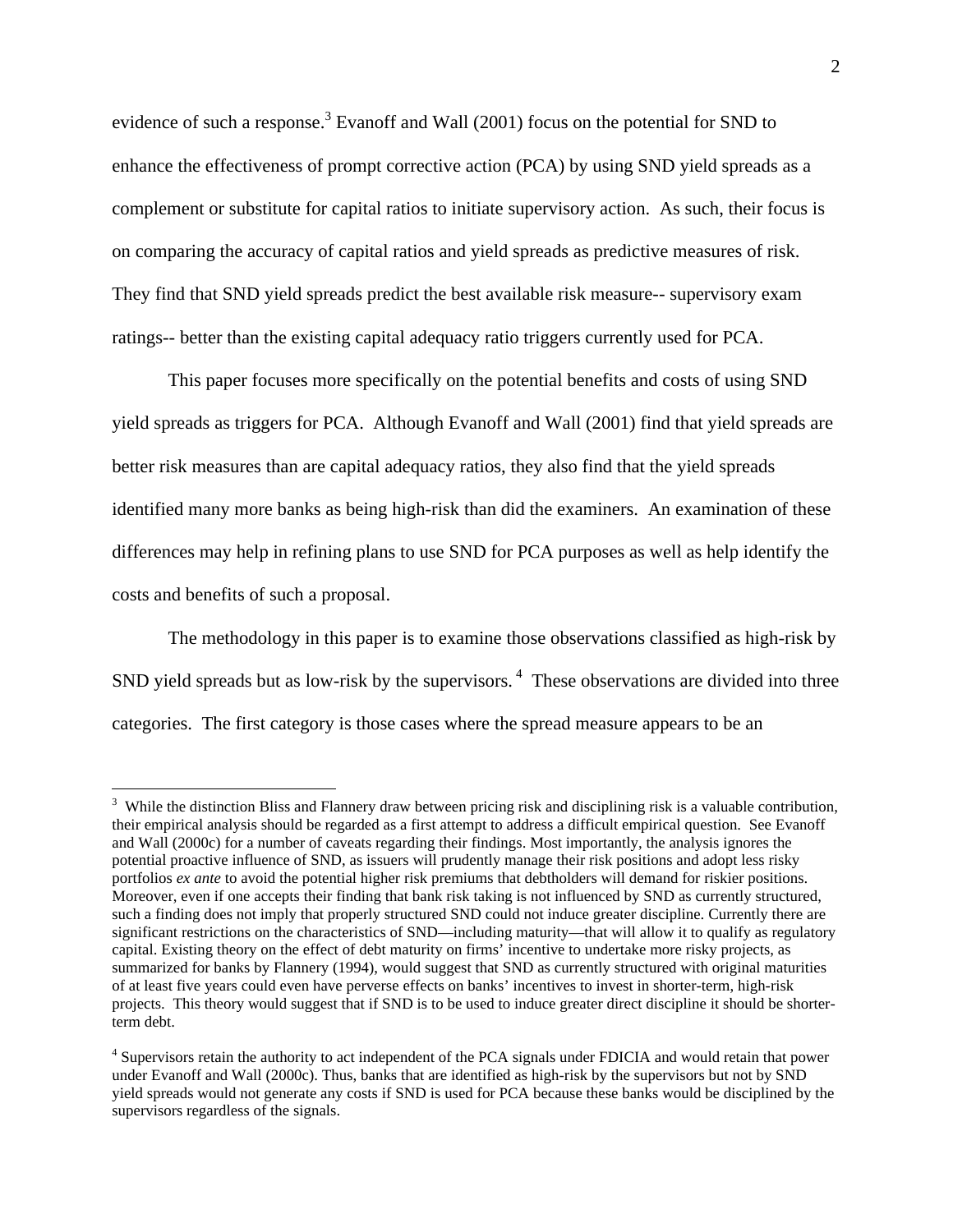evidence of such a response.<sup>3</sup> Evanoff and Wall  $(2001)$  focus on the potential for SND to enhance the effectiveness of prompt corrective action (PCA) by using SND yield spreads as a complement or substitute for capital ratios to initiate supervisory action. As such, their focus is on comparing the accuracy of capital ratios and yield spreads as predictive measures of risk. They find that SND yield spreads predict the best available risk measure-- supervisory exam ratings-- better than the existing capital adequacy ratio triggers currently used for PCA.

This paper focuses more specifically on the potential benefits and costs of using SND yield spreads as triggers for PCA. Although Evanoff and Wall (2001) find that yield spreads are better risk measures than are capital adequacy ratios, they also find that the yield spreads identified many more banks as being high-risk than did the examiners. An examination of these differences may help in refining plans to use SND for PCA purposes as well as help identify the costs and benefits of such a proposal.

The methodology in this paper is to examine those observations classified as high-risk by SND yield spreads but as low-risk by the supervisors.<sup>4</sup> These observations are divided into three categories. The first category is those cases where the spread measure appears to be an

<u>.</u>

 $3$  While the distinction Bliss and Flannery draw between pricing risk and disciplining risk is a valuable contribution, their empirical analysis should be regarded as a first attempt to address a difficult empirical question. See Evanoff and Wall (2000c) for a number of caveats regarding their findings. Most importantly, the analysis ignores the potential proactive influence of SND, as issuers will prudently manage their risk positions and adopt less risky portfolios *ex ante* to avoid the potential higher risk premiums that debtholders will demand for riskier positions. Moreover, even if one accepts their finding that bank risk taking is not influenced by SND as currently structured, such a finding does not imply that properly structured SND could not induce greater discipline. Currently there are significant restrictions on the characteristics of SND—including maturity—that will allow it to qualify as regulatory capital. Existing theory on the effect of debt maturity on firms' incentive to undertake more risky projects, as summarized for banks by Flannery (1994), would suggest that SND as currently structured with original maturities of at least five years could even have perverse effects on banks' incentives to invest in shorter-term, high-risk projects. This theory would suggest that if SND is to be used to induce greater direct discipline it should be shorterterm debt.

<sup>&</sup>lt;sup>4</sup> Supervisors retain the authority to act independent of the PCA signals under FDICIA and would retain that power under Evanoff and Wall (2000c). Thus, banks that are identified as high-risk by the supervisors but not by SND yield spreads would not generate any costs if SND is used for PCA because these banks would be disciplined by the supervisors regardless of the signals.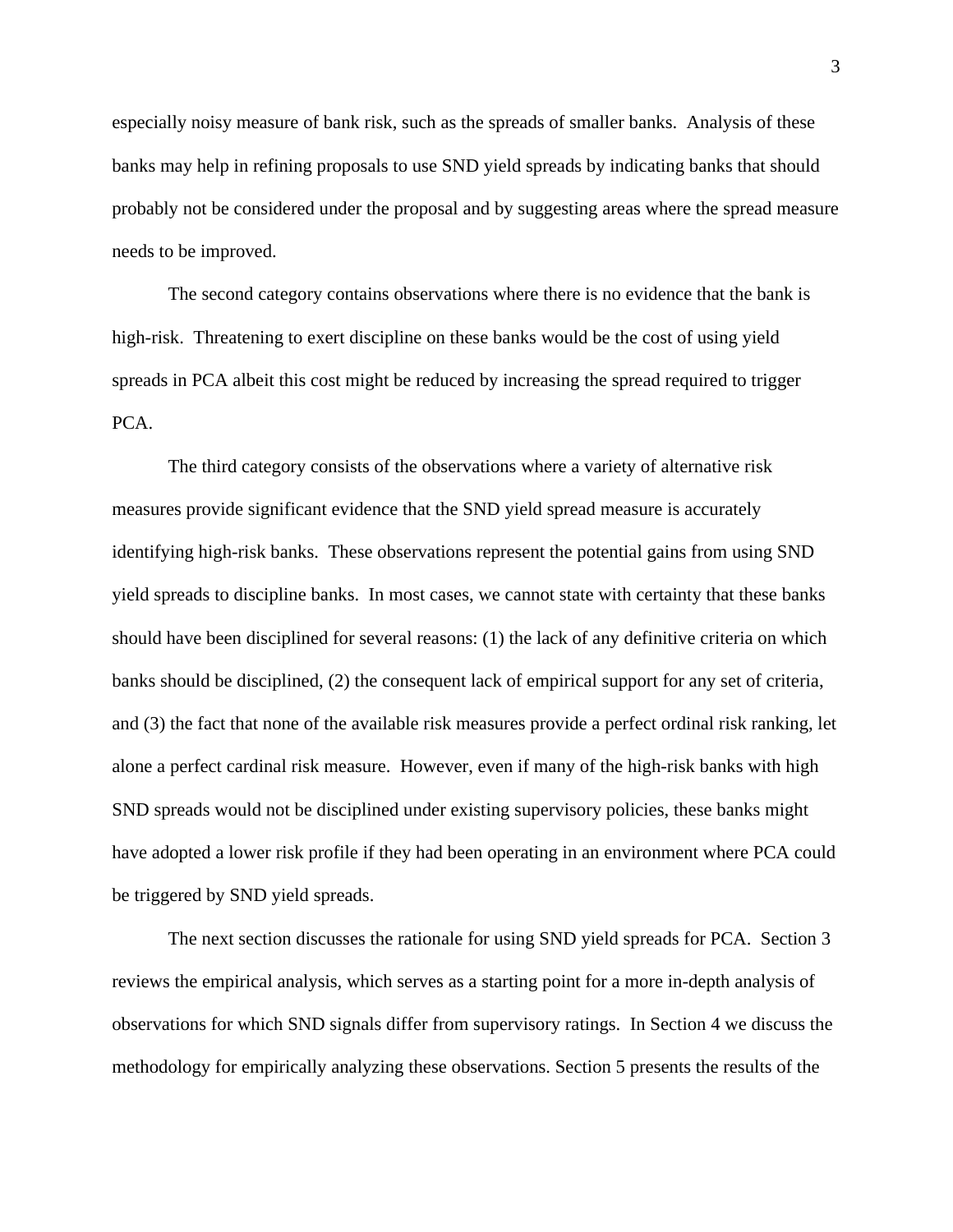especially noisy measure of bank risk, such as the spreads of smaller banks. Analysis of these banks may help in refining proposals to use SND yield spreads by indicating banks that should probably not be considered under the proposal and by suggesting areas where the spread measure needs to be improved.

The second category contains observations where there is no evidence that the bank is high-risk. Threatening to exert discipline on these banks would be the cost of using yield spreads in PCA albeit this cost might be reduced by increasing the spread required to trigger PCA.

The third category consists of the observations where a variety of alternative risk measures provide significant evidence that the SND yield spread measure is accurately identifying high-risk banks. These observations represent the potential gains from using SND yield spreads to discipline banks. In most cases, we cannot state with certainty that these banks should have been disciplined for several reasons: (1) the lack of any definitive criteria on which banks should be disciplined, (2) the consequent lack of empirical support for any set of criteria, and (3) the fact that none of the available risk measures provide a perfect ordinal risk ranking, let alone a perfect cardinal risk measure. However, even if many of the high-risk banks with high SND spreads would not be disciplined under existing supervisory policies, these banks might have adopted a lower risk profile if they had been operating in an environment where PCA could be triggered by SND yield spreads.

The next section discusses the rationale for using SND yield spreads for PCA. Section 3 reviews the empirical analysis, which serves as a starting point for a more in-depth analysis of observations for which SND signals differ from supervisory ratings. In Section 4 we discuss the methodology for empirically analyzing these observations. Section 5 presents the results of the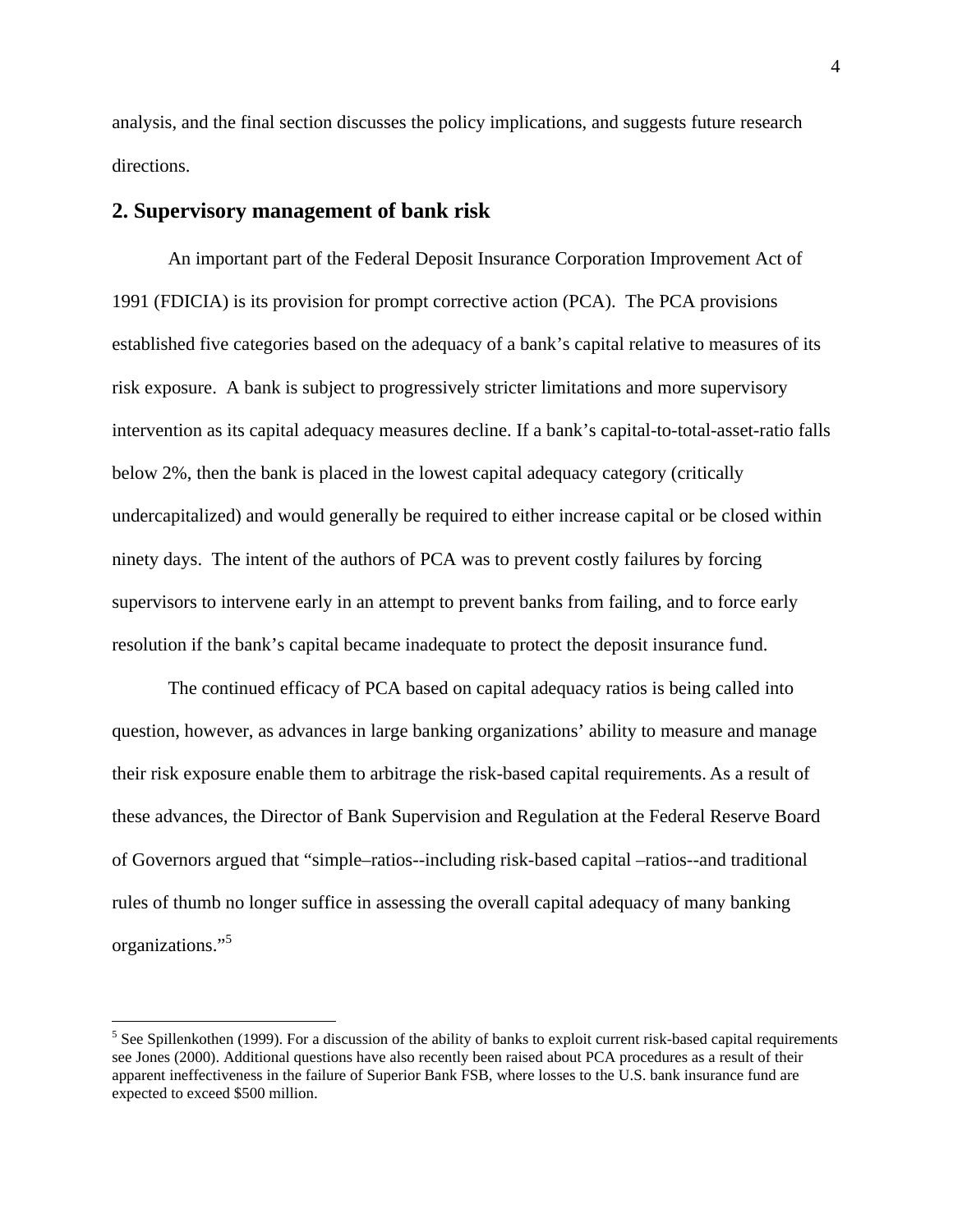analysis, and the final section discusses the policy implications, and suggests future research directions.

#### **2. Supervisory management of bank risk**

1

An important part of the Federal Deposit Insurance Corporation Improvement Act of 1991 (FDICIA) is its provision for prompt corrective action (PCA). The PCA provisions established five categories based on the adequacy of a bank's capital relative to measures of its risk exposure. A bank is subject to progressively stricter limitations and more supervisory intervention as its capital adequacy measures decline. If a bank's capital-to-total-asset-ratio falls below 2%, then the bank is placed in the lowest capital adequacy category (critically undercapitalized) and would generally be required to either increase capital or be closed within ninety days. The intent of the authors of PCA was to prevent costly failures by forcing supervisors to intervene early in an attempt to prevent banks from failing, and to force early resolution if the bank's capital became inadequate to protect the deposit insurance fund.

The continued efficacy of PCA based on capital adequacy ratios is being called into question, however, as advances in large banking organizations' ability to measure and manage their risk exposure enable them to arbitrage the risk-based capital requirements. As a result of these advances, the Director of Bank Supervision and Regulation at the Federal Reserve Board of Governors argued that "simple–ratios--including risk-based capital –ratios--and traditional rules of thumb no longer suffice in assessing the overall capital adequacy of many banking organizations."<sup>5</sup>

 $<sup>5</sup>$  See Spillenkothen (1999). For a discussion of the ability of banks to exploit current risk-based capital requirements</sup> see Jones (2000). Additional questions have also recently been raised about PCA procedures as a result of their apparent ineffectiveness in the failure of Superior Bank FSB, where losses to the U.S. bank insurance fund are expected to exceed \$500 million.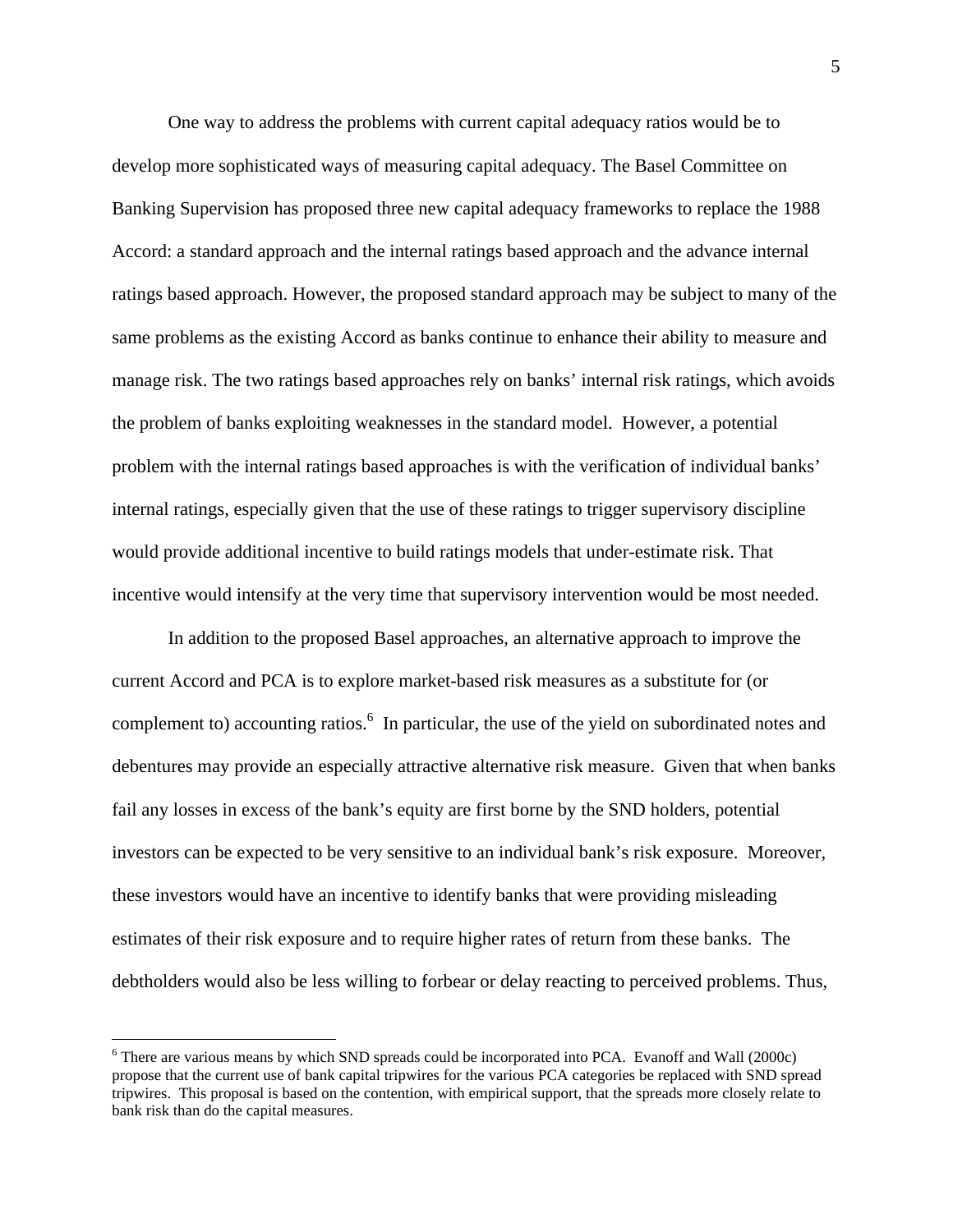One way to address the problems with current capital adequacy ratios would be to develop more sophisticated ways of measuring capital adequacy. The Basel Committee on Banking Supervision has proposed three new capital adequacy frameworks to replace the 1988 Accord: a standard approach and the internal ratings based approach and the advance internal ratings based approach. However, the proposed standard approach may be subject to many of the same problems as the existing Accord as banks continue to enhance their ability to measure and manage risk. The two ratings based approaches rely on banks' internal risk ratings, which avoids the problem of banks exploiting weaknesses in the standard model. However, a potential problem with the internal ratings based approaches is with the verification of individual banks' internal ratings, especially given that the use of these ratings to trigger supervisory discipline would provide additional incentive to build ratings models that under-estimate risk. That incentive would intensify at the very time that supervisory intervention would be most needed.

In addition to the proposed Basel approaches, an alternative approach to improve the current Accord and PCA is to explore market-based risk measures as a substitute for (or complement to) accounting ratios.<sup>6</sup> In particular, the use of the yield on subordinated notes and debentures may provide an especially attractive alternative risk measure. Given that when banks fail any losses in excess of the bank's equity are first borne by the SND holders, potential investors can be expected to be very sensitive to an individual bank's risk exposure. Moreover, these investors would have an incentive to identify banks that were providing misleading estimates of their risk exposure and to require higher rates of return from these banks. The debtholders would also be less willing to forbear or delay reacting to perceived problems. Thus,

<sup>&</sup>lt;sup>6</sup> There are various means by which SND spreads could be incorporated into PCA. Evanoff and Wall (2000c) propose that the current use of bank capital tripwires for the various PCA categories be replaced with SND spread tripwires. This proposal is based on the contention, with empirical support, that the spreads more closely relate to bank risk than do the capital measures.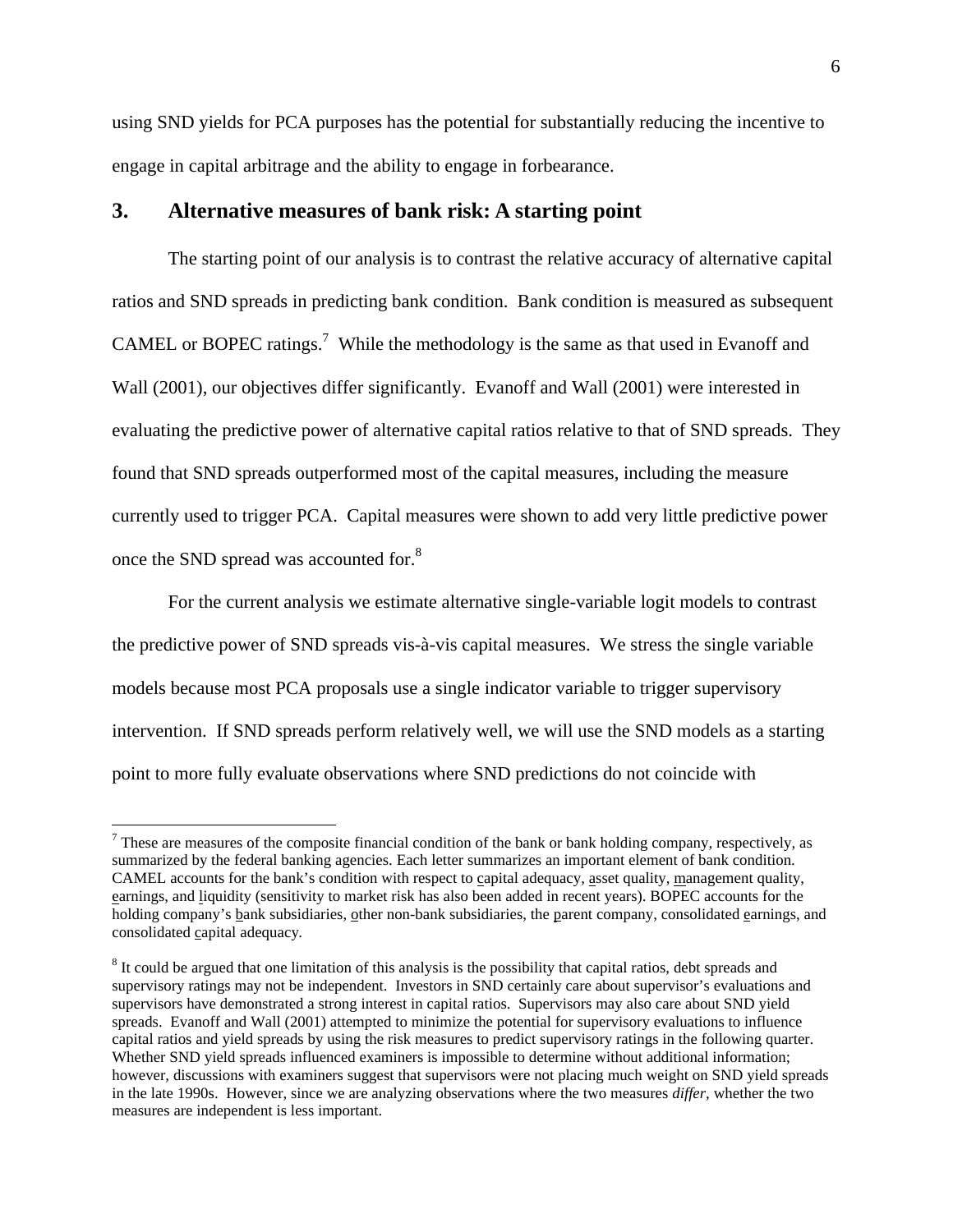using SND yields for PCA purposes has the potential for substantially reducing the incentive to engage in capital arbitrage and the ability to engage in forbearance.

#### **3. Alternative measures of bank risk: A starting point**

The starting point of our analysis is to contrast the relative accuracy of alternative capital ratios and SND spreads in predicting bank condition. Bank condition is measured as subsequent CAMEL or BOPEC ratings.<sup>7</sup> While the methodology is the same as that used in Evanoff and Wall (2001), our objectives differ significantly. Evanoff and Wall (2001) were interested in evaluating the predictive power of alternative capital ratios relative to that of SND spreads. They found that SND spreads outperformed most of the capital measures, including the measure currently used to trigger PCA. Capital measures were shown to add very little predictive power once the SND spread was accounted for.<sup>8</sup>

For the current analysis we estimate alternative single-variable logit models to contrast the predictive power of SND spreads vis-à-vis capital measures. We stress the single variable models because most PCA proposals use a single indicator variable to trigger supervisory intervention. If SND spreads perform relatively well, we will use the SND models as a starting point to more fully evaluate observations where SND predictions do not coincide with

 $<sup>7</sup>$  These are measures of the composite financial condition of the bank or bank holding company, respectively, as</sup> summarized by the federal banking agencies. Each letter summarizes an important element of bank condition. CAMEL accounts for the bank's condition with respect to capital adequacy, asset quality, management quality, earnings, and liquidity (sensitivity to market risk has also been added in recent years). BOPEC accounts for the holding company's bank subsidiaries, other non-bank subsidiaries, the parent company, consolidated earnings, and consolidated capital adequacy.

<sup>&</sup>lt;sup>8</sup> It could be argued that one limitation of this analysis is the possibility that capital ratios, debt spreads and supervisory ratings may not be independent. Investors in SND certainly care about supervisor's evaluations and supervisors have demonstrated a strong interest in capital ratios. Supervisors may also care about SND yield spreads. Evanoff and Wall (2001) attempted to minimize the potential for supervisory evaluations to influence capital ratios and yield spreads by using the risk measures to predict supervisory ratings in the following quarter. Whether SND yield spreads influenced examiners is impossible to determine without additional information; however, discussions with examiners suggest that supervisors were not placing much weight on SND yield spreads in the late 1990s. However, since we are analyzing observations where the two measures *differ,* whether the two measures are independent is less important.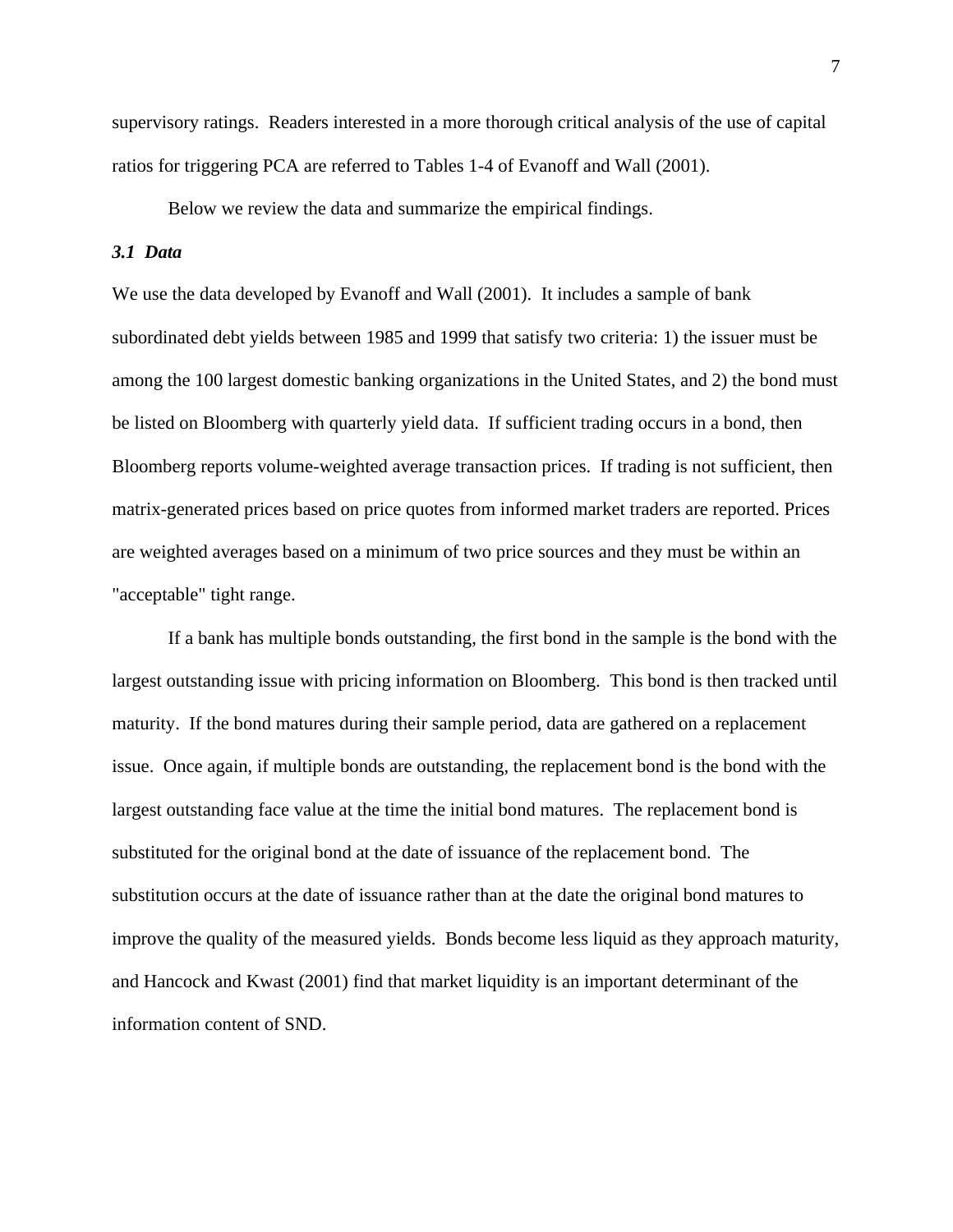supervisory ratings. Readers interested in a more thorough critical analysis of the use of capital ratios for triggering PCA are referred to Tables 1-4 of Evanoff and Wall (2001).

Below we review the data and summarize the empirical findings.

#### *3.1 Data*

We use the data developed by Evanoff and Wall (2001). It includes a sample of bank subordinated debt yields between 1985 and 1999 that satisfy two criteria: 1) the issuer must be among the 100 largest domestic banking organizations in the United States, and 2) the bond must be listed on Bloomberg with quarterly yield data. If sufficient trading occurs in a bond, then Bloomberg reports volume-weighted average transaction prices. If trading is not sufficient, then matrix-generated prices based on price quotes from informed market traders are reported. Prices are weighted averages based on a minimum of two price sources and they must be within an "acceptable" tight range.

If a bank has multiple bonds outstanding, the first bond in the sample is the bond with the largest outstanding issue with pricing information on Bloomberg. This bond is then tracked until maturity. If the bond matures during their sample period, data are gathered on a replacement issue. Once again, if multiple bonds are outstanding, the replacement bond is the bond with the largest outstanding face value at the time the initial bond matures. The replacement bond is substituted for the original bond at the date of issuance of the replacement bond. The substitution occurs at the date of issuance rather than at the date the original bond matures to improve the quality of the measured yields. Bonds become less liquid as they approach maturity, and Hancock and Kwast (2001) find that market liquidity is an important determinant of the information content of SND.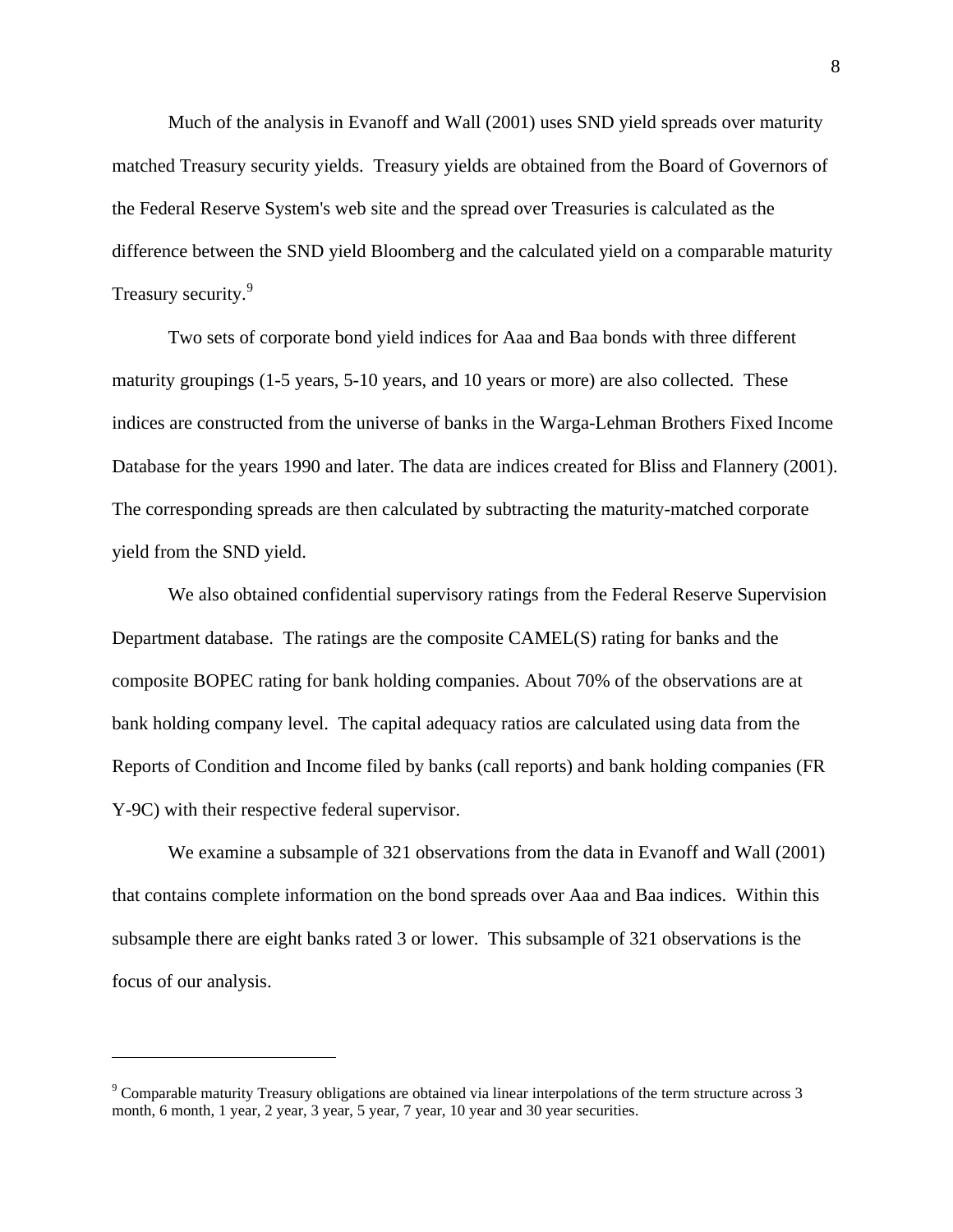Much of the analysis in Evanoff and Wall (2001) uses SND yield spreads over maturity matched Treasury security yields. Treasury yields are obtained from the Board of Governors of the Federal Reserve System's web site and the spread over Treasuries is calculated as the difference between the SND yield Bloomberg and the calculated yield on a comparable maturity Treasury security.<sup>9</sup>

Two sets of corporate bond yield indices for Aaa and Baa bonds with three different maturity groupings (1-5 years, 5-10 years, and 10 years or more) are also collected. These indices are constructed from the universe of banks in the Warga-Lehman Brothers Fixed Income Database for the years 1990 and later. The data are indices created for Bliss and Flannery (2001). The corresponding spreads are then calculated by subtracting the maturity-matched corporate yield from the SND yield.

We also obtained confidential supervisory ratings from the Federal Reserve Supervision Department database. The ratings are the composite CAMEL(S) rating for banks and the composite BOPEC rating for bank holding companies. About 70% of the observations are at bank holding company level. The capital adequacy ratios are calculated using data from the Reports of Condition and Income filed by banks (call reports) and bank holding companies (FR Y-9C) with their respective federal supervisor.

We examine a subsample of 321 observations from the data in Evanoff and Wall (2001) that contains complete information on the bond spreads over Aaa and Baa indices. Within this subsample there are eight banks rated 3 or lower. This subsample of 321 observations is the focus of our analysis.

<sup>9</sup> Comparable maturity Treasury obligations are obtained via linear interpolations of the term structure across 3 month, 6 month, 1 year, 2 year, 3 year, 5 year, 7 year, 10 year and 30 year securities.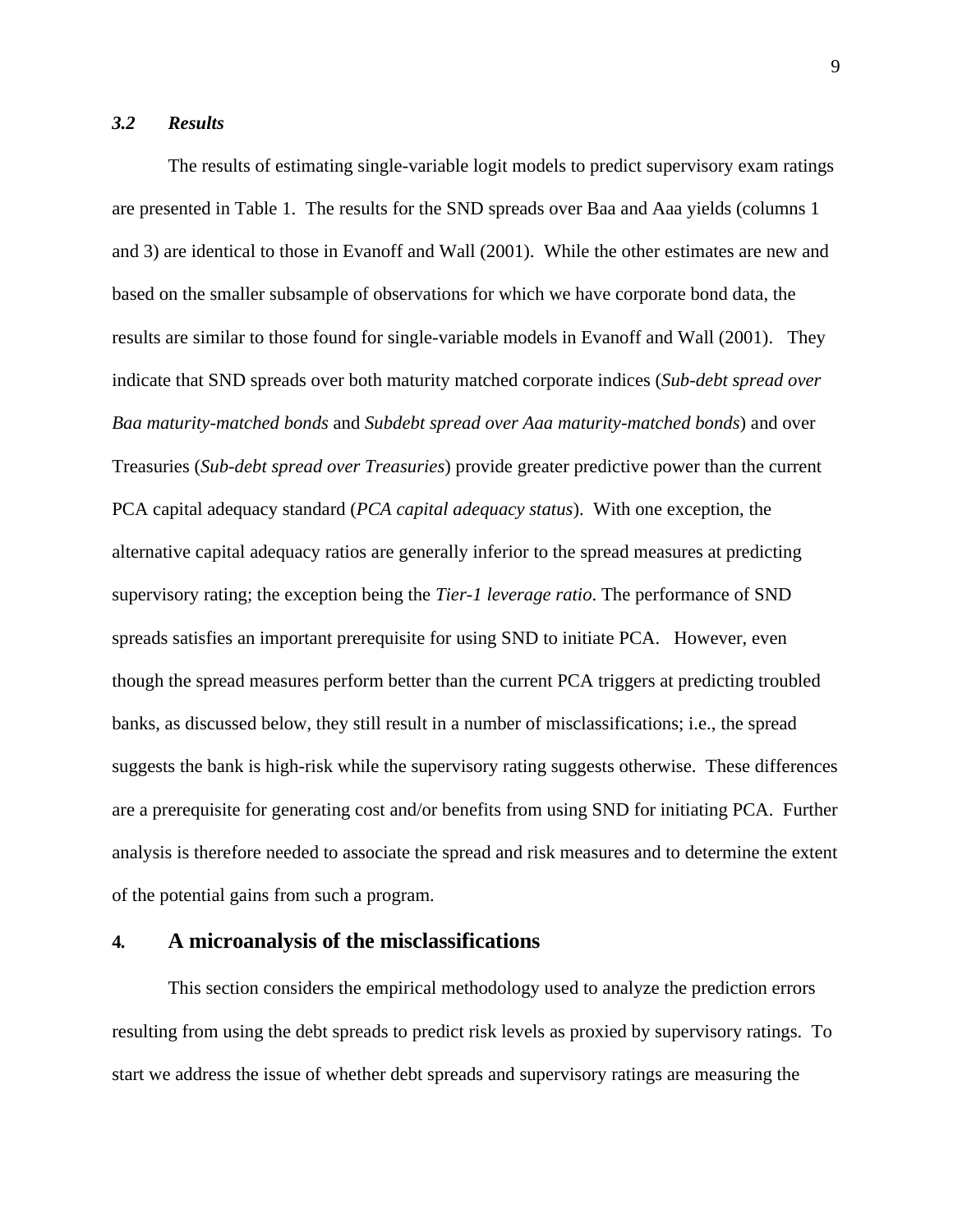#### *3.2 Results*

The results of estimating single-variable logit models to predict supervisory exam ratings are presented in Table 1. The results for the SND spreads over Baa and Aaa yields (columns 1 and 3) are identical to those in Evanoff and Wall (2001). While the other estimates are new and based on the smaller subsample of observations for which we have corporate bond data, the results are similar to those found for single-variable models in Evanoff and Wall (2001). They indicate that SND spreads over both maturity matched corporate indices (*Sub-debt spread over Baa maturity-matched bonds* and *Subdebt spread over Aaa maturity-matched bonds*) and over Treasuries (*Sub-debt spread over Treasuries*) provide greater predictive power than the current PCA capital adequacy standard (*PCA capital adequacy status*). With one exception, the alternative capital adequacy ratios are generally inferior to the spread measures at predicting supervisory rating; the exception being the *Tier-1 leverage ratio*. The performance of SND spreads satisfies an important prerequisite for using SND to initiate PCA. However, even though the spread measures perform better than the current PCA triggers at predicting troubled banks, as discussed below, they still result in a number of misclassifications; i.e., the spread suggests the bank is high-risk while the supervisory rating suggests otherwise. These differences are a prerequisite for generating cost and/or benefits from using SND for initiating PCA. Further analysis is therefore needed to associate the spread and risk measures and to determine the extent of the potential gains from such a program.

#### **4***.* **A microanalysis of the misclassifications**

This section considers the empirical methodology used to analyze the prediction errors resulting from using the debt spreads to predict risk levels as proxied by supervisory ratings. To start we address the issue of whether debt spreads and supervisory ratings are measuring the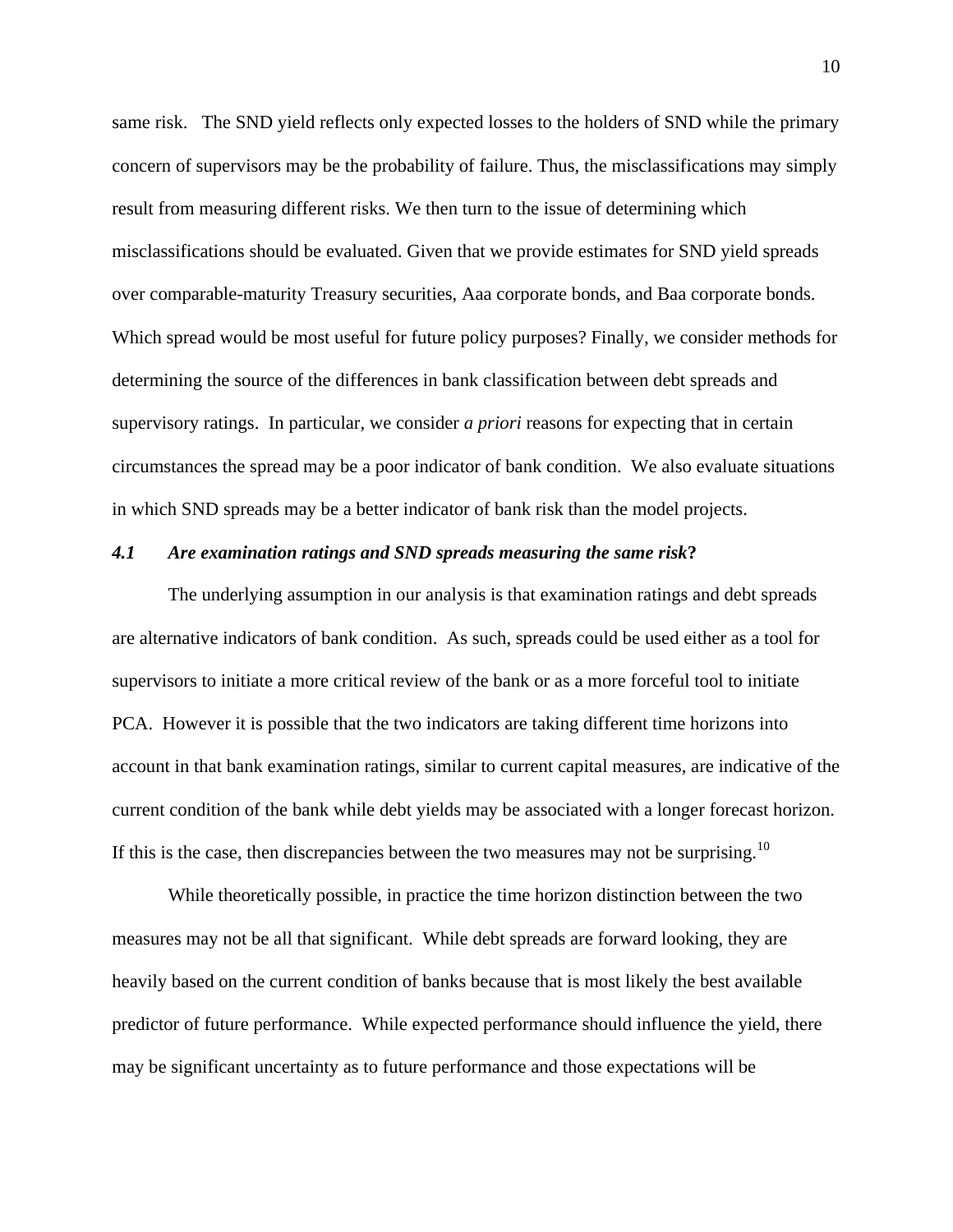same risk. The SND yield reflects only expected losses to the holders of SND while the primary concern of supervisors may be the probability of failure. Thus, the misclassifications may simply result from measuring different risks. We then turn to the issue of determining which misclassifications should be evaluated. Given that we provide estimates for SND yield spreads over comparable-maturity Treasury securities, Aaa corporate bonds, and Baa corporate bonds. Which spread would be most useful for future policy purposes? Finally, we consider methods for determining the source of the differences in bank classification between debt spreads and supervisory ratings. In particular, we consider *a priori* reasons for expecting that in certain circumstances the spread may be a poor indicator of bank condition. We also evaluate situations in which SND spreads may be a better indicator of bank risk than the model projects.

#### *4.1 Are examination ratings and SND spreads measuring the same risk***?**

The underlying assumption in our analysis is that examination ratings and debt spreads are alternative indicators of bank condition. As such, spreads could be used either as a tool for supervisors to initiate a more critical review of the bank or as a more forceful tool to initiate PCA. However it is possible that the two indicators are taking different time horizons into account in that bank examination ratings, similar to current capital measures, are indicative of the current condition of the bank while debt yields may be associated with a longer forecast horizon. If this is the case, then discrepancies between the two measures may not be surprising.<sup>10</sup>

While theoretically possible, in practice the time horizon distinction between the two measures may not be all that significant. While debt spreads are forward looking, they are heavily based on the current condition of banks because that is most likely the best available predictor of future performance. While expected performance should influence the yield, there may be significant uncertainty as to future performance and those expectations will be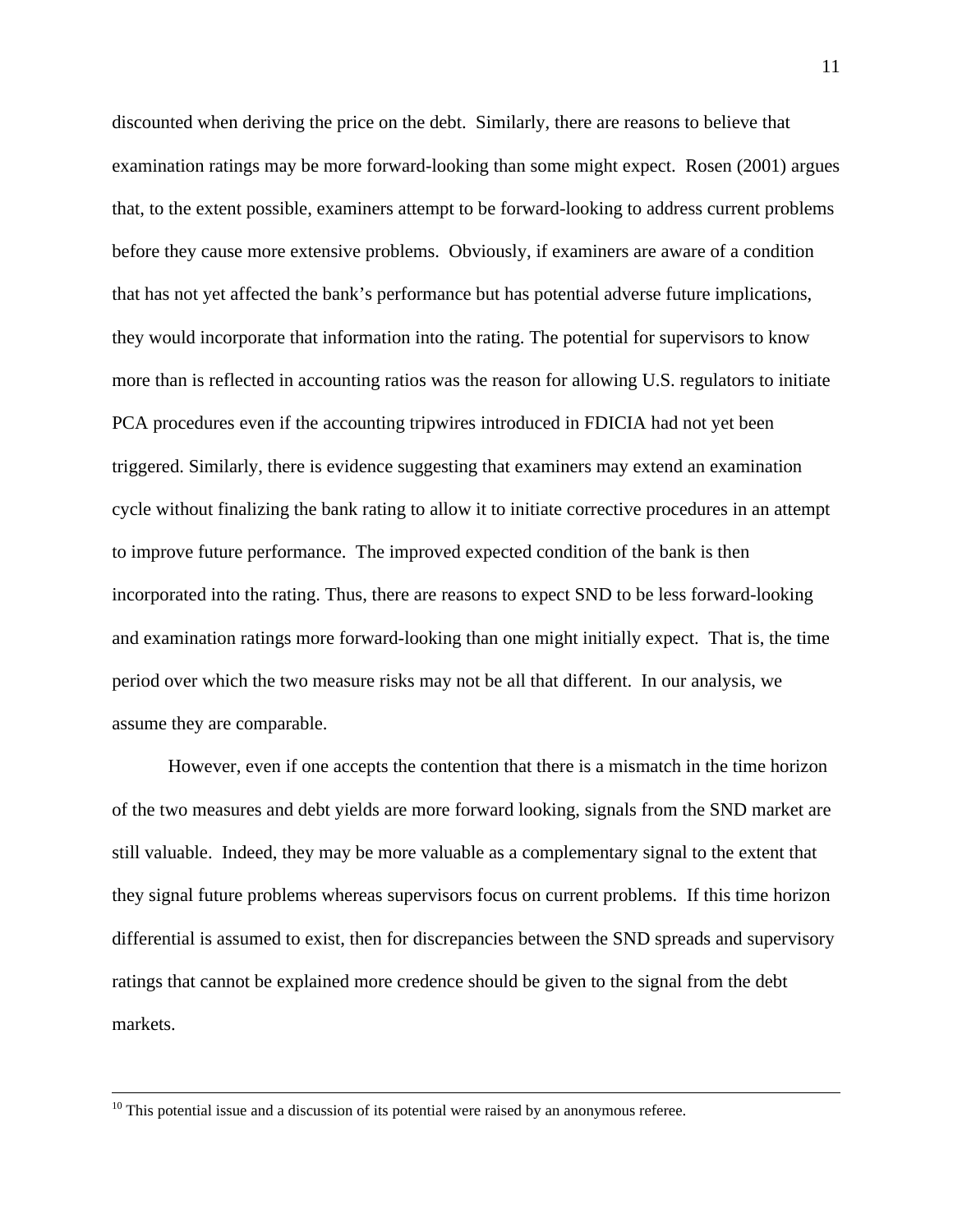discounted when deriving the price on the debt. Similarly, there are reasons to believe that examination ratings may be more forward-looking than some might expect. Rosen (2001) argues that, to the extent possible, examiners attempt to be forward-looking to address current problems before they cause more extensive problems. Obviously, if examiners are aware of a condition that has not yet affected the bank's performance but has potential adverse future implications, they would incorporate that information into the rating. The potential for supervisors to know more than is reflected in accounting ratios was the reason for allowing U.S. regulators to initiate PCA procedures even if the accounting tripwires introduced in FDICIA had not yet been triggered. Similarly, there is evidence suggesting that examiners may extend an examination cycle without finalizing the bank rating to allow it to initiate corrective procedures in an attempt to improve future performance. The improved expected condition of the bank is then incorporated into the rating. Thus, there are reasons to expect SND to be less forward-looking and examination ratings more forward-looking than one might initially expect. That is, the time period over which the two measure risks may not be all that different. In our analysis, we assume they are comparable.

However, even if one accepts the contention that there is a mismatch in the time horizon of the two measures and debt yields are more forward looking, signals from the SND market are still valuable. Indeed, they may be more valuable as a complementary signal to the extent that they signal future problems whereas supervisors focus on current problems. If this time horizon differential is assumed to exist, then for discrepancies between the SND spreads and supervisory ratings that cannot be explained more credence should be given to the signal from the debt markets.

 $10$  This potential issue and a discussion of its potential were raised by an anonymous referee.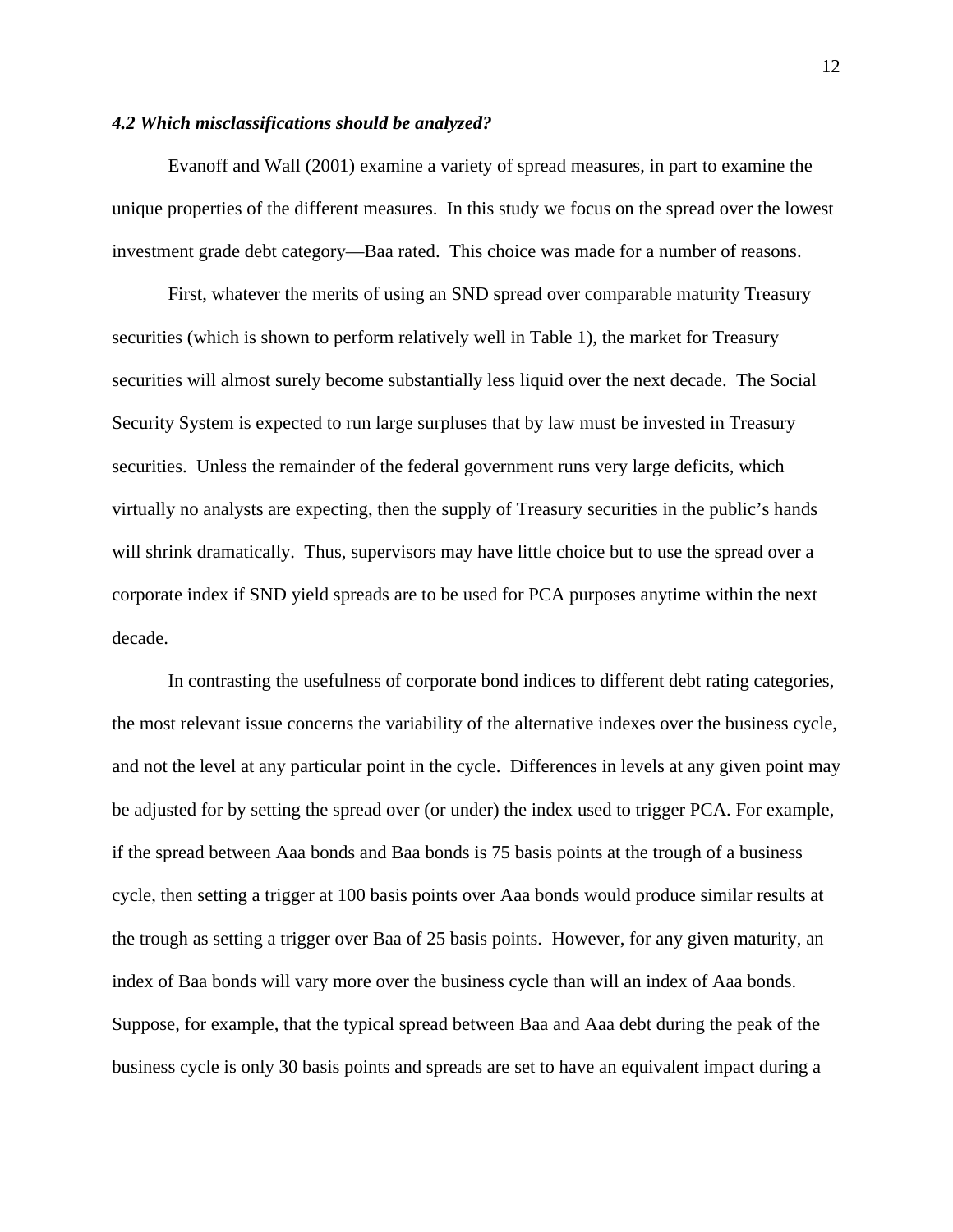#### *4.2 Which misclassifications should be analyzed?*

Evanoff and Wall (2001) examine a variety of spread measures, in part to examine the unique properties of the different measures. In this study we focus on the spread over the lowest investment grade debt category—Baa rated. This choice was made for a number of reasons.

First, whatever the merits of using an SND spread over comparable maturity Treasury securities (which is shown to perform relatively well in Table 1), the market for Treasury securities will almost surely become substantially less liquid over the next decade. The Social Security System is expected to run large surpluses that by law must be invested in Treasury securities. Unless the remainder of the federal government runs very large deficits, which virtually no analysts are expecting, then the supply of Treasury securities in the public's hands will shrink dramatically. Thus, supervisors may have little choice but to use the spread over a corporate index if SND yield spreads are to be used for PCA purposes anytime within the next decade.

In contrasting the usefulness of corporate bond indices to different debt rating categories, the most relevant issue concerns the variability of the alternative indexes over the business cycle, and not the level at any particular point in the cycle. Differences in levels at any given point may be adjusted for by setting the spread over (or under) the index used to trigger PCA. For example, if the spread between Aaa bonds and Baa bonds is 75 basis points at the trough of a business cycle, then setting a trigger at 100 basis points over Aaa bonds would produce similar results at the trough as setting a trigger over Baa of 25 basis points. However, for any given maturity, an index of Baa bonds will vary more over the business cycle than will an index of Aaa bonds. Suppose, for example, that the typical spread between Baa and Aaa debt during the peak of the business cycle is only 30 basis points and spreads are set to have an equivalent impact during a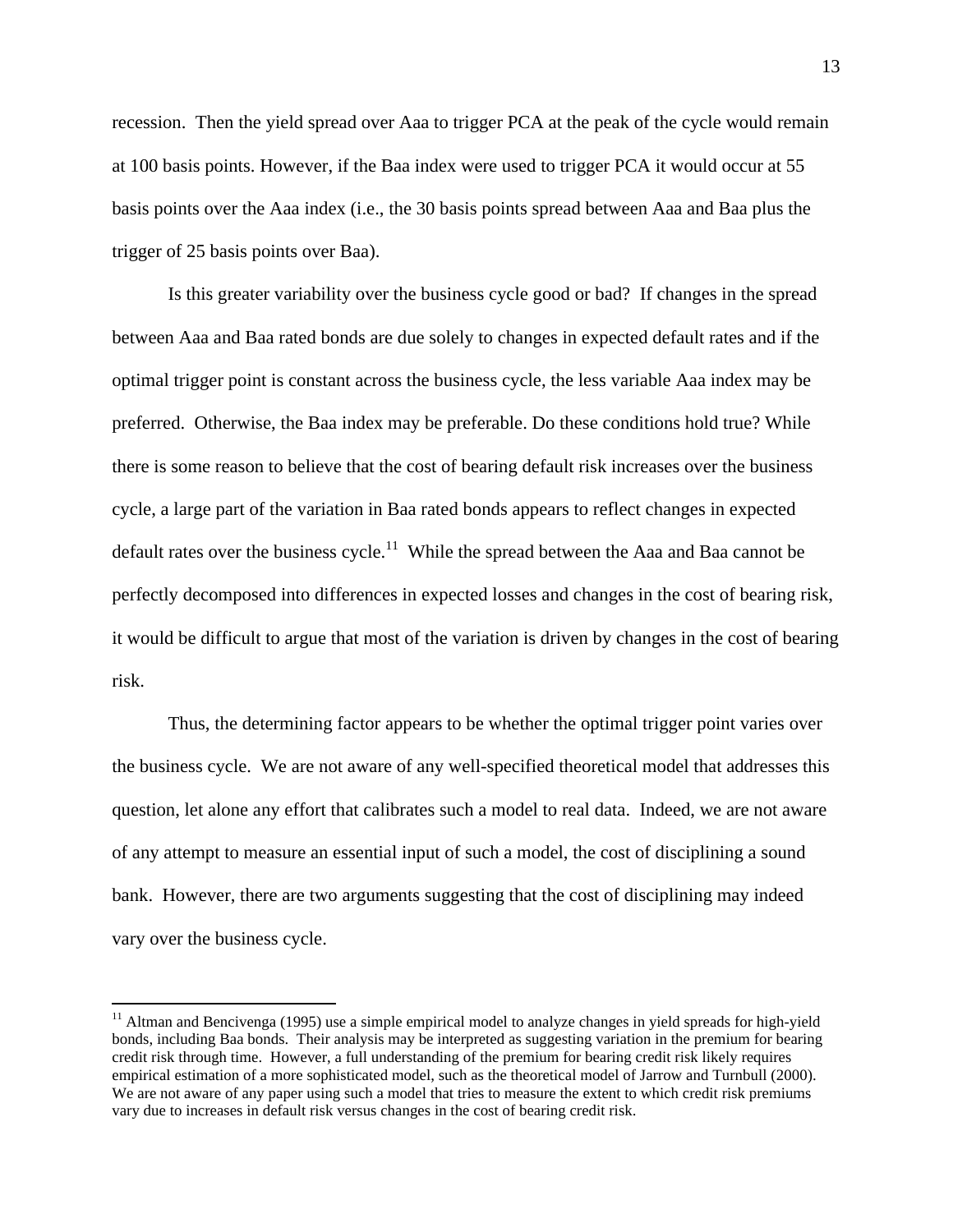recession. Then the yield spread over Aaa to trigger PCA at the peak of the cycle would remain at 100 basis points. However, if the Baa index were used to trigger PCA it would occur at 55 basis points over the Aaa index (i.e., the 30 basis points spread between Aaa and Baa plus the trigger of 25 basis points over Baa).

Is this greater variability over the business cycle good or bad? If changes in the spread between Aaa and Baa rated bonds are due solely to changes in expected default rates and if the optimal trigger point is constant across the business cycle, the less variable Aaa index may be preferred. Otherwise, the Baa index may be preferable. Do these conditions hold true? While there is some reason to believe that the cost of bearing default risk increases over the business cycle, a large part of the variation in Baa rated bonds appears to reflect changes in expected default rates over the business cycle.<sup>11</sup> While the spread between the Aaa and Baa cannot be perfectly decomposed into differences in expected losses and changes in the cost of bearing risk, it would be difficult to argue that most of the variation is driven by changes in the cost of bearing risk.

Thus, the determining factor appears to be whether the optimal trigger point varies over the business cycle. We are not aware of any well-specified theoretical model that addresses this question, let alone any effort that calibrates such a model to real data. Indeed, we are not aware of any attempt to measure an essential input of such a model, the cost of disciplining a sound bank. However, there are two arguments suggesting that the cost of disciplining may indeed vary over the business cycle.

<u>.</u>

 $11$  Altman and Bencivenga (1995) use a simple empirical model to analyze changes in yield spreads for high-yield bonds, including Baa bonds. Their analysis may be interpreted as suggesting variation in the premium for bearing credit risk through time. However, a full understanding of the premium for bearing credit risk likely requires empirical estimation of a more sophisticated model, such as the theoretical model of Jarrow and Turnbull (2000). We are not aware of any paper using such a model that tries to measure the extent to which credit risk premiums vary due to increases in default risk versus changes in the cost of bearing credit risk.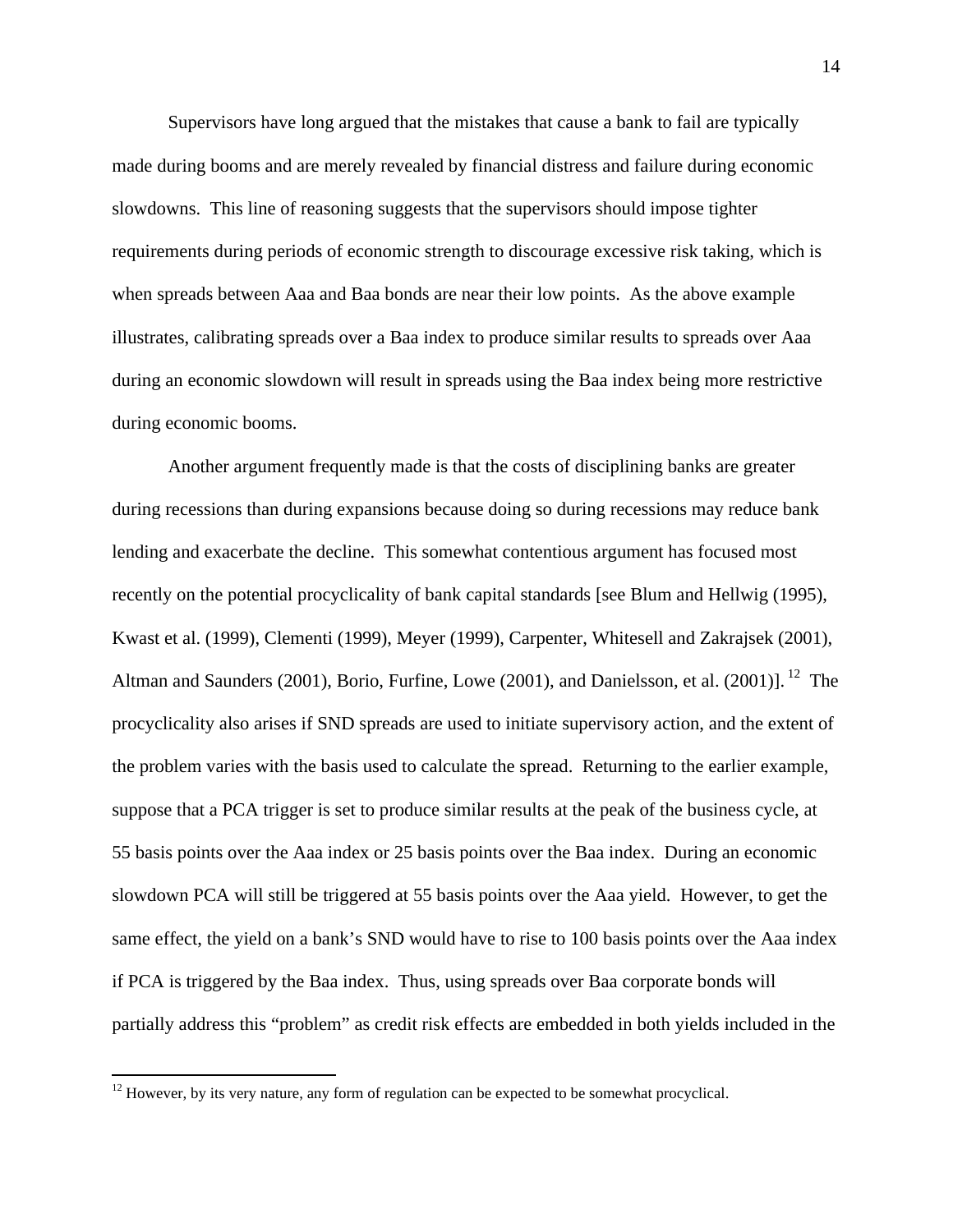Supervisors have long argued that the mistakes that cause a bank to fail are typically made during booms and are merely revealed by financial distress and failure during economic slowdowns. This line of reasoning suggests that the supervisors should impose tighter requirements during periods of economic strength to discourage excessive risk taking, which is when spreads between Aaa and Baa bonds are near their low points. As the above example illustrates, calibrating spreads over a Baa index to produce similar results to spreads over Aaa during an economic slowdown will result in spreads using the Baa index being more restrictive during economic booms.

Another argument frequently made is that the costs of disciplining banks are greater during recessions than during expansions because doing so during recessions may reduce bank lending and exacerbate the decline. This somewhat contentious argument has focused most recently on the potential procyclicality of bank capital standards [see Blum and Hellwig (1995), Kwast et al. (1999), Clementi (1999), Meyer (1999), Carpenter, Whitesell and Zakrajsek (2001), Altman and Saunders (2001), Borio, Furfine, Lowe (2001), and Danielsson, et al. (2001)].<sup>12</sup> The procyclicality also arises if SND spreads are used to initiate supervisory action, and the extent of the problem varies with the basis used to calculate the spread. Returning to the earlier example, suppose that a PCA trigger is set to produce similar results at the peak of the business cycle, at 55 basis points over the Aaa index or 25 basis points over the Baa index. During an economic slowdown PCA will still be triggered at 55 basis points over the Aaa yield. However, to get the same effect, the yield on a bank's SND would have to rise to 100 basis points over the Aaa index if PCA is triggered by the Baa index. Thus, using spreads over Baa corporate bonds will partially address this "problem" as credit risk effects are embedded in both yields included in the

 $12$  However, by its very nature, any form of regulation can be expected to be somewhat procyclical.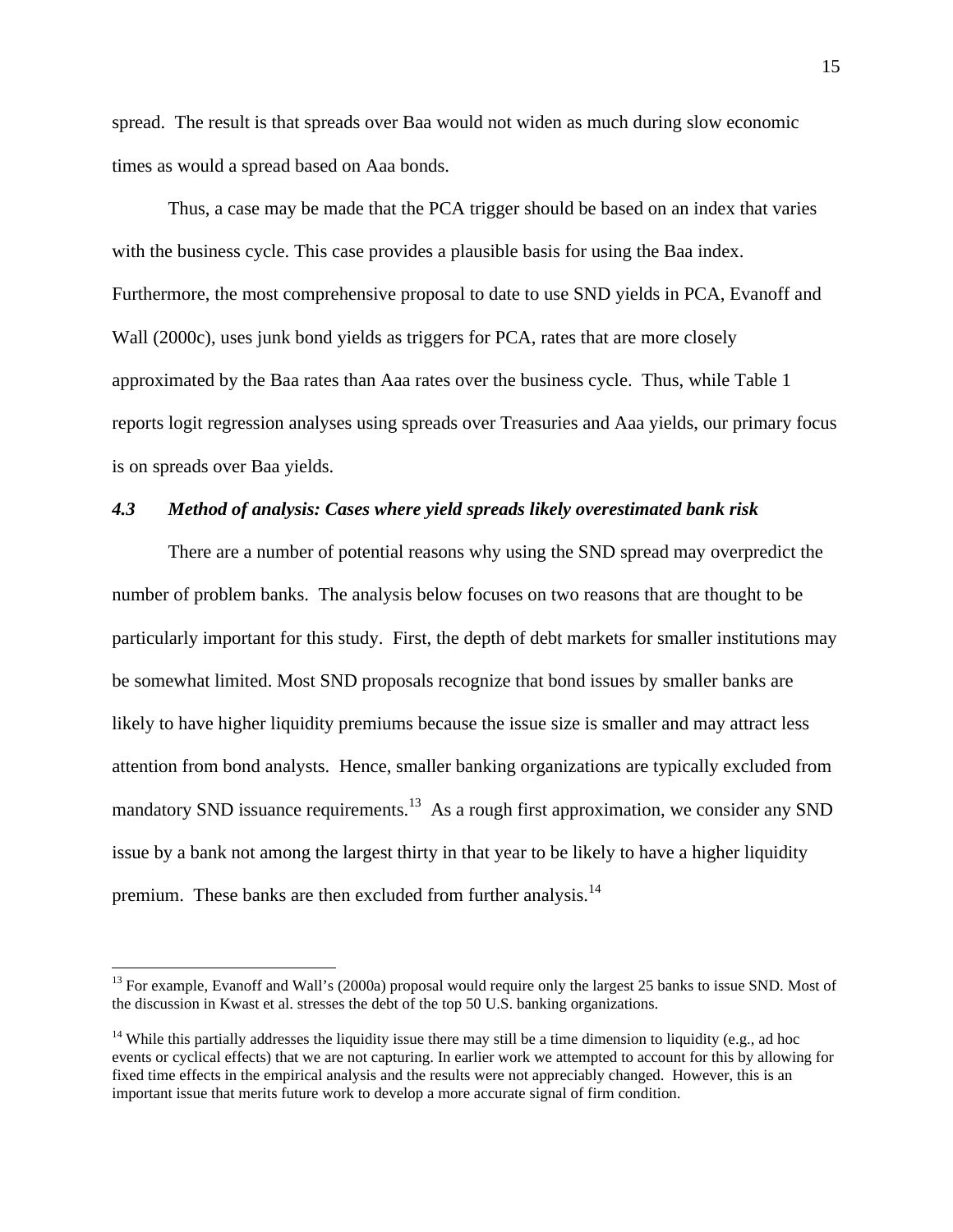spread. The result is that spreads over Baa would not widen as much during slow economic times as would a spread based on Aaa bonds.

Thus, a case may be made that the PCA trigger should be based on an index that varies with the business cycle. This case provides a plausible basis for using the Baa index. Furthermore, the most comprehensive proposal to date to use SND yields in PCA, Evanoff and Wall (2000c), uses junk bond yields as triggers for PCA, rates that are more closely approximated by the Baa rates than Aaa rates over the business cycle. Thus, while Table 1 reports logit regression analyses using spreads over Treasuries and Aaa yields, our primary focus is on spreads over Baa yields.

#### *4.3 Method of analysis: Cases where yield spreads likely overestimated bank risk*

There are a number of potential reasons why using the SND spread may overpredict the number of problem banks. The analysis below focuses on two reasons that are thought to be particularly important for this study. First, the depth of debt markets for smaller institutions may be somewhat limited. Most SND proposals recognize that bond issues by smaller banks are likely to have higher liquidity premiums because the issue size is smaller and may attract less attention from bond analysts. Hence, smaller banking organizations are typically excluded from mandatory SND issuance requirements.<sup>13</sup> As a rough first approximation, we consider any SND issue by a bank not among the largest thirty in that year to be likely to have a higher liquidity premium. These banks are then excluded from further analysis.<sup>14</sup>

 $^{13}$  For example, Evanoff and Wall's (2000a) proposal would require only the largest 25 banks to issue SND. Most of the discussion in Kwast et al. stresses the debt of the top 50 U.S. banking organizations.

<sup>&</sup>lt;sup>14</sup> While this partially addresses the liquidity issue there may still be a time dimension to liquidity (e.g., ad hoc events or cyclical effects) that we are not capturing. In earlier work we attempted to account for this by allowing for fixed time effects in the empirical analysis and the results were not appreciably changed. However, this is an important issue that merits future work to develop a more accurate signal of firm condition.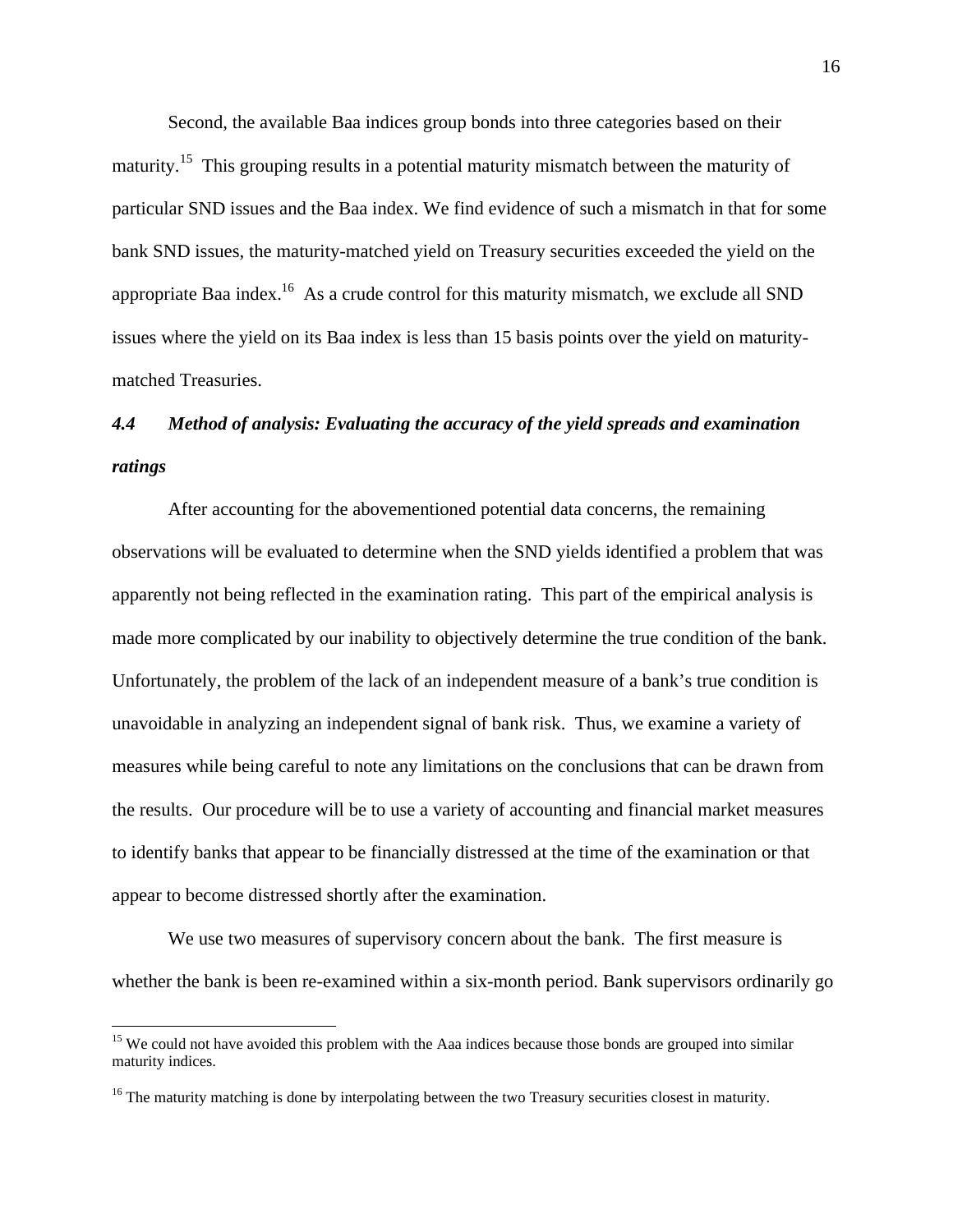Second, the available Baa indices group bonds into three categories based on their maturity.<sup>15</sup> This grouping results in a potential maturity mismatch between the maturity of particular SND issues and the Baa index. We find evidence of such a mismatch in that for some bank SND issues, the maturity-matched yield on Treasury securities exceeded the yield on the appropriate Baa index.<sup>16</sup> As a crude control for this maturity mismatch, we exclude all SND issues where the yield on its Baa index is less than 15 basis points over the yield on maturitymatched Treasuries.

## *4.4 Method of analysis: Evaluating the accuracy of the yield spreads and examination ratings*

After accounting for the abovementioned potential data concerns, the remaining observations will be evaluated to determine when the SND yields identified a problem that was apparently not being reflected in the examination rating. This part of the empirical analysis is made more complicated by our inability to objectively determine the true condition of the bank. Unfortunately, the problem of the lack of an independent measure of a bank's true condition is unavoidable in analyzing an independent signal of bank risk. Thus, we examine a variety of measures while being careful to note any limitations on the conclusions that can be drawn from the results. Our procedure will be to use a variety of accounting and financial market measures to identify banks that appear to be financially distressed at the time of the examination or that appear to become distressed shortly after the examination.

We use two measures of supervisory concern about the bank. The first measure is whether the bank is been re-examined within a six-month period. Bank supervisors ordinarily go

<sup>&</sup>lt;sup>15</sup> We could not have avoided this problem with the Aaa indices because those bonds are grouped into similar maturity indices.

<sup>&</sup>lt;sup>16</sup> The maturity matching is done by interpolating between the two Treasury securities closest in maturity.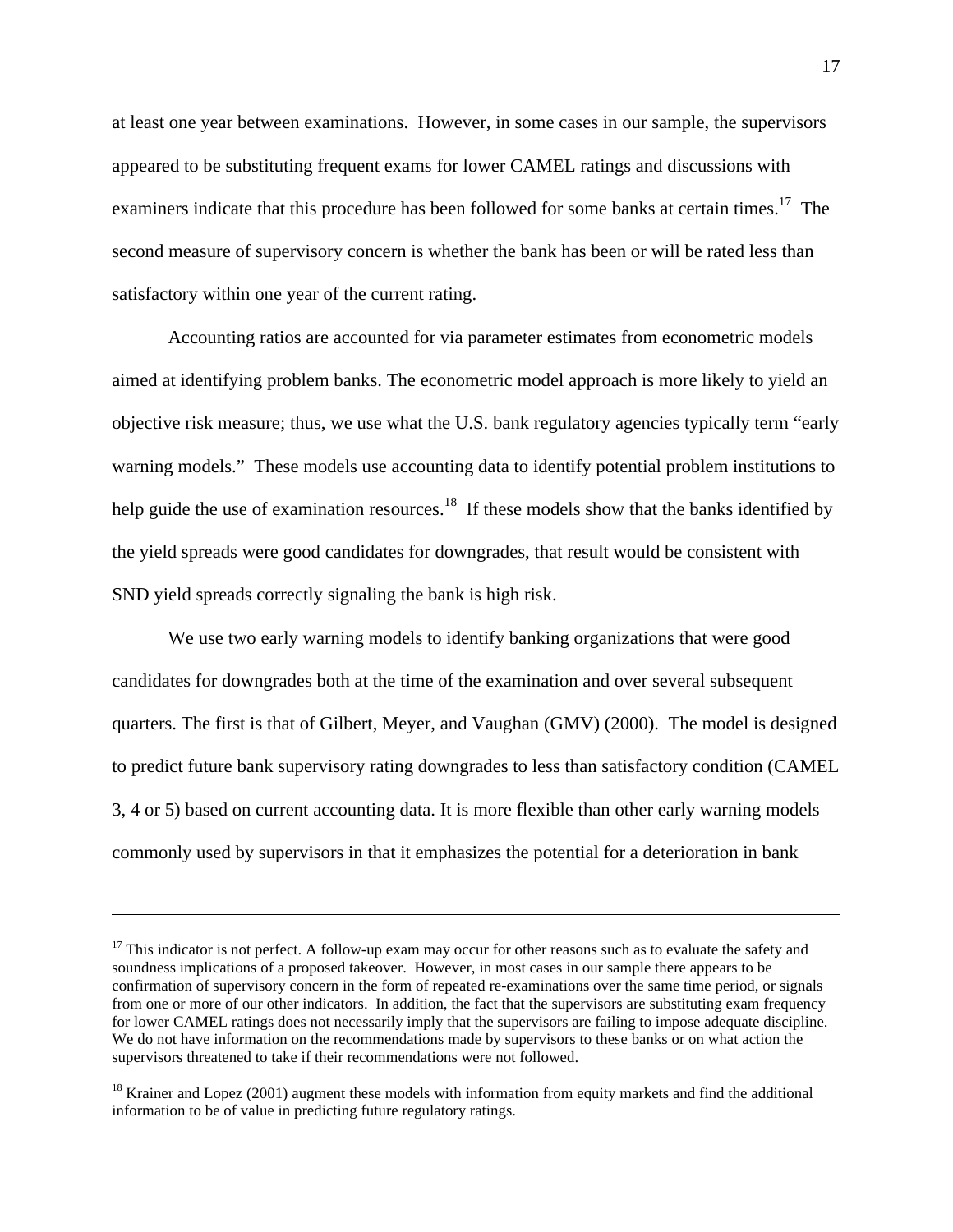at least one year between examinations. However, in some cases in our sample, the supervisors appeared to be substituting frequent exams for lower CAMEL ratings and discussions with examiners indicate that this procedure has been followed for some banks at certain times.<sup>17</sup> The second measure of supervisory concern is whether the bank has been or will be rated less than satisfactory within one year of the current rating.

Accounting ratios are accounted for via parameter estimates from econometric models aimed at identifying problem banks. The econometric model approach is more likely to yield an objective risk measure; thus, we use what the U.S. bank regulatory agencies typically term "early warning models." These models use accounting data to identify potential problem institutions to help guide the use of examination resources.<sup>18</sup> If these models show that the banks identified by the yield spreads were good candidates for downgrades, that result would be consistent with SND yield spreads correctly signaling the bank is high risk.

We use two early warning models to identify banking organizations that were good candidates for downgrades both at the time of the examination and over several subsequent quarters. The first is that of Gilbert, Meyer, and Vaughan (GMV) (2000). The model is designed to predict future bank supervisory rating downgrades to less than satisfactory condition (CAMEL 3, 4 or 5) based on current accounting data. It is more flexible than other early warning models commonly used by supervisors in that it emphasizes the potential for a deterioration in bank

 $17$  This indicator is not perfect. A follow-up exam may occur for other reasons such as to evaluate the safety and soundness implications of a proposed takeover. However, in most cases in our sample there appears to be confirmation of supervisory concern in the form of repeated re-examinations over the same time period, or signals from one or more of our other indicators. In addition, the fact that the supervisors are substituting exam frequency for lower CAMEL ratings does not necessarily imply that the supervisors are failing to impose adequate discipline. We do not have information on the recommendations made by supervisors to these banks or on what action the supervisors threatened to take if their recommendations were not followed.

<sup>&</sup>lt;sup>18</sup> Krainer and Lopez (2001) augment these models with information from equity markets and find the additional information to be of value in predicting future regulatory ratings.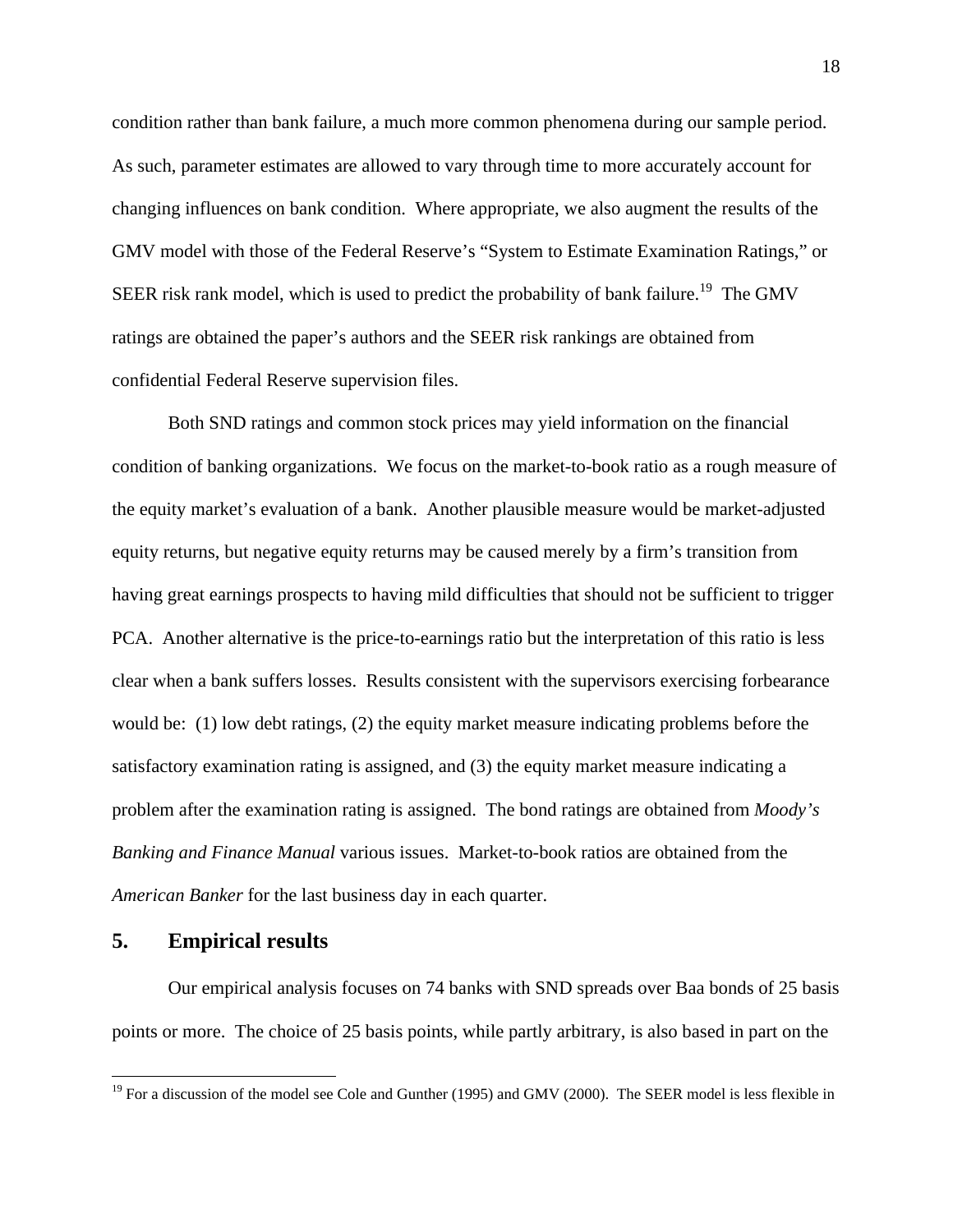condition rather than bank failure, a much more common phenomena during our sample period. As such, parameter estimates are allowed to vary through time to more accurately account for changing influences on bank condition. Where appropriate, we also augment the results of the GMV model with those of the Federal Reserve's "System to Estimate Examination Ratings," or SEER risk rank model, which is used to predict the probability of bank failure.<sup>19</sup> The GMV ratings are obtained the paper's authors and the SEER risk rankings are obtained from confidential Federal Reserve supervision files.

Both SND ratings and common stock prices may yield information on the financial condition of banking organizations. We focus on the market-to-book ratio as a rough measure of the equity market's evaluation of a bank. Another plausible measure would be market-adjusted equity returns, but negative equity returns may be caused merely by a firm's transition from having great earnings prospects to having mild difficulties that should not be sufficient to trigger PCA. Another alternative is the price-to-earnings ratio but the interpretation of this ratio is less clear when a bank suffers losses. Results consistent with the supervisors exercising forbearance would be: (1) low debt ratings, (2) the equity market measure indicating problems before the satisfactory examination rating is assigned, and (3) the equity market measure indicating a problem after the examination rating is assigned. The bond ratings are obtained from *Moody's Banking and Finance Manual* various issues. Market-to-book ratios are obtained from the *American Banker* for the last business day in each quarter.

#### **5. Empirical results**

 $\overline{a}$ 

Our empirical analysis focuses on 74 banks with SND spreads over Baa bonds of 25 basis points or more. The choice of 25 basis points, while partly arbitrary, is also based in part on the

<sup>&</sup>lt;sup>19</sup> For a discussion of the model see Cole and Gunther (1995) and GMV (2000). The SEER model is less flexible in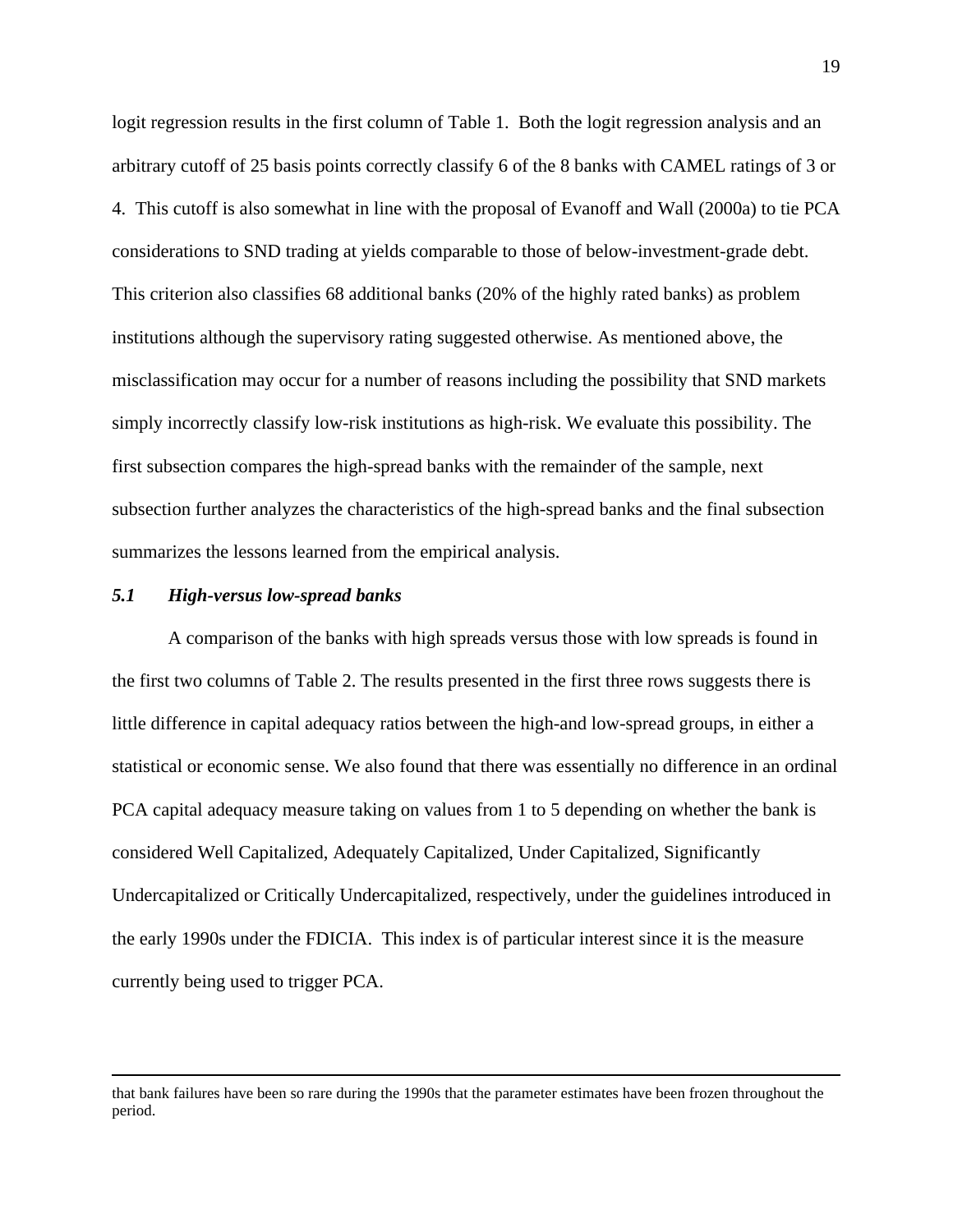logit regression results in the first column of Table 1. Both the logit regression analysis and an arbitrary cutoff of 25 basis points correctly classify 6 of the 8 banks with CAMEL ratings of 3 or 4. This cutoff is also somewhat in line with the proposal of Evanoff and Wall (2000a) to tie PCA considerations to SND trading at yields comparable to those of below-investment-grade debt. This criterion also classifies 68 additional banks (20% of the highly rated banks) as problem institutions although the supervisory rating suggested otherwise. As mentioned above, the misclassification may occur for a number of reasons including the possibility that SND markets simply incorrectly classify low-risk institutions as high-risk. We evaluate this possibility. The first subsection compares the high-spread banks with the remainder of the sample, next subsection further analyzes the characteristics of the high-spread banks and the final subsection summarizes the lessons learned from the empirical analysis.

#### *5.1 High-versus low-spread banks*

 $\overline{a}$ 

A comparison of the banks with high spreads versus those with low spreads is found in the first two columns of Table 2. The results presented in the first three rows suggests there is little difference in capital adequacy ratios between the high-and low-spread groups, in either a statistical or economic sense. We also found that there was essentially no difference in an ordinal PCA capital adequacy measure taking on values from 1 to 5 depending on whether the bank is considered Well Capitalized, Adequately Capitalized, Under Capitalized, Significantly Undercapitalized or Critically Undercapitalized, respectively, under the guidelines introduced in the early 1990s under the FDICIA. This index is of particular interest since it is the measure currently being used to trigger PCA.

that bank failures have been so rare during the 1990s that the parameter estimates have been frozen throughout the period.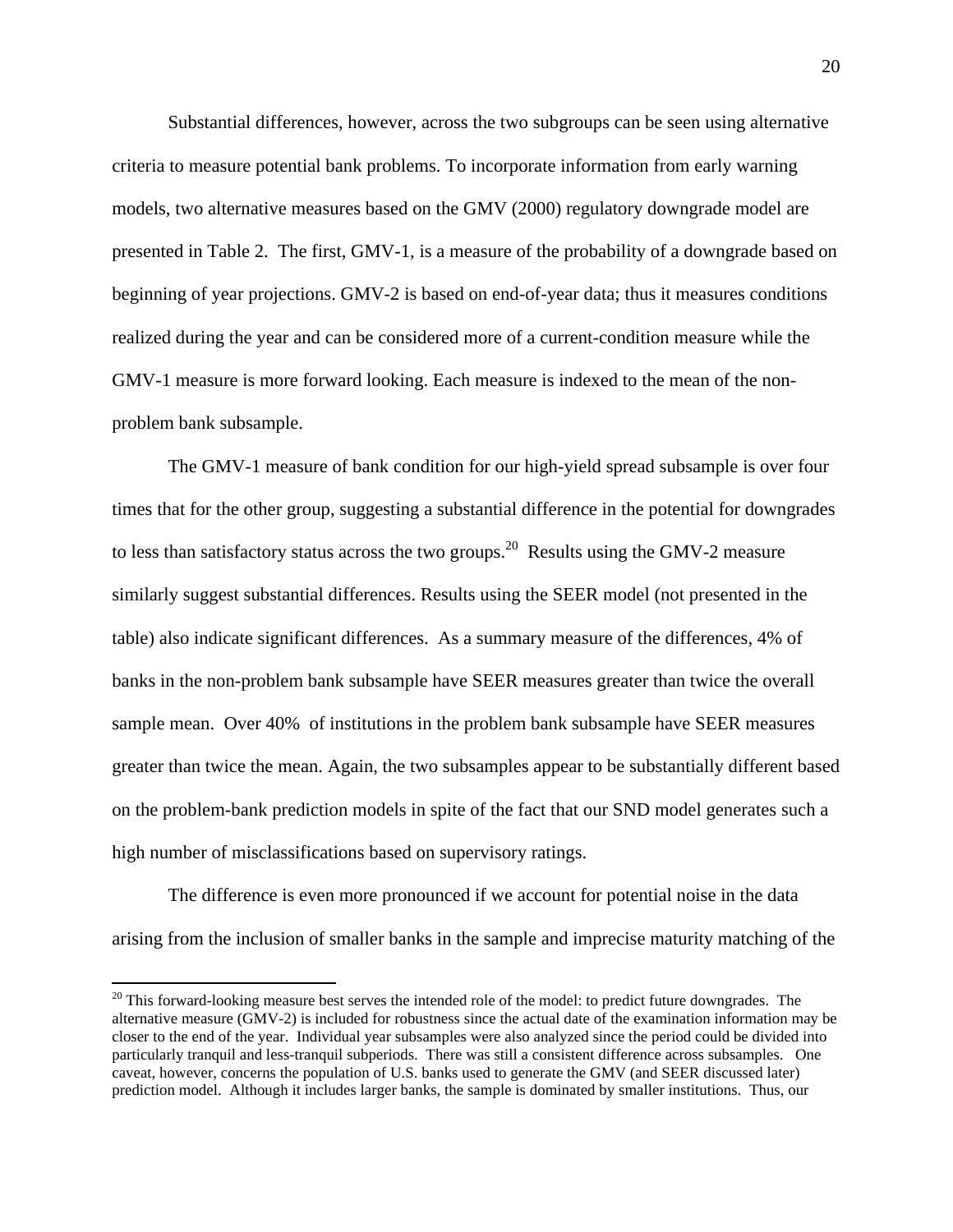Substantial differences, however, across the two subgroups can be seen using alternative criteria to measure potential bank problems. To incorporate information from early warning models, two alternative measures based on the GMV (2000) regulatory downgrade model are presented in Table 2. The first, GMV-1, is a measure of the probability of a downgrade based on beginning of year projections. GMV-2 is based on end-of-year data; thus it measures conditions realized during the year and can be considered more of a current-condition measure while the GMV-1 measure is more forward looking. Each measure is indexed to the mean of the nonproblem bank subsample.

The GMV-1 measure of bank condition for our high-yield spread subsample is over four times that for the other group, suggesting a substantial difference in the potential for downgrades to less than satisfactory status across the two groups.<sup>20</sup> Results using the GMV-2 measure similarly suggest substantial differences. Results using the SEER model (not presented in the table) also indicate significant differences. As a summary measure of the differences, 4% of banks in the non-problem bank subsample have SEER measures greater than twice the overall sample mean. Over 40% of institutions in the problem bank subsample have SEER measures greater than twice the mean. Again, the two subsamples appear to be substantially different based on the problem-bank prediction models in spite of the fact that our SND model generates such a high number of misclassifications based on supervisory ratings.

The difference is even more pronounced if we account for potential noise in the data arising from the inclusion of smaller banks in the sample and imprecise maturity matching of the

<sup>&</sup>lt;sup>20</sup> This forward-looking measure best serves the intended role of the model: to predict future downgrades. The alternative measure (GMV-2) is included for robustness since the actual date of the examination information may be closer to the end of the year. Individual year subsamples were also analyzed since the period could be divided into particularly tranquil and less-tranquil subperiods. There was still a consistent difference across subsamples. One caveat, however, concerns the population of U.S. banks used to generate the GMV (and SEER discussed later) prediction model. Although it includes larger banks, the sample is dominated by smaller institutions. Thus, our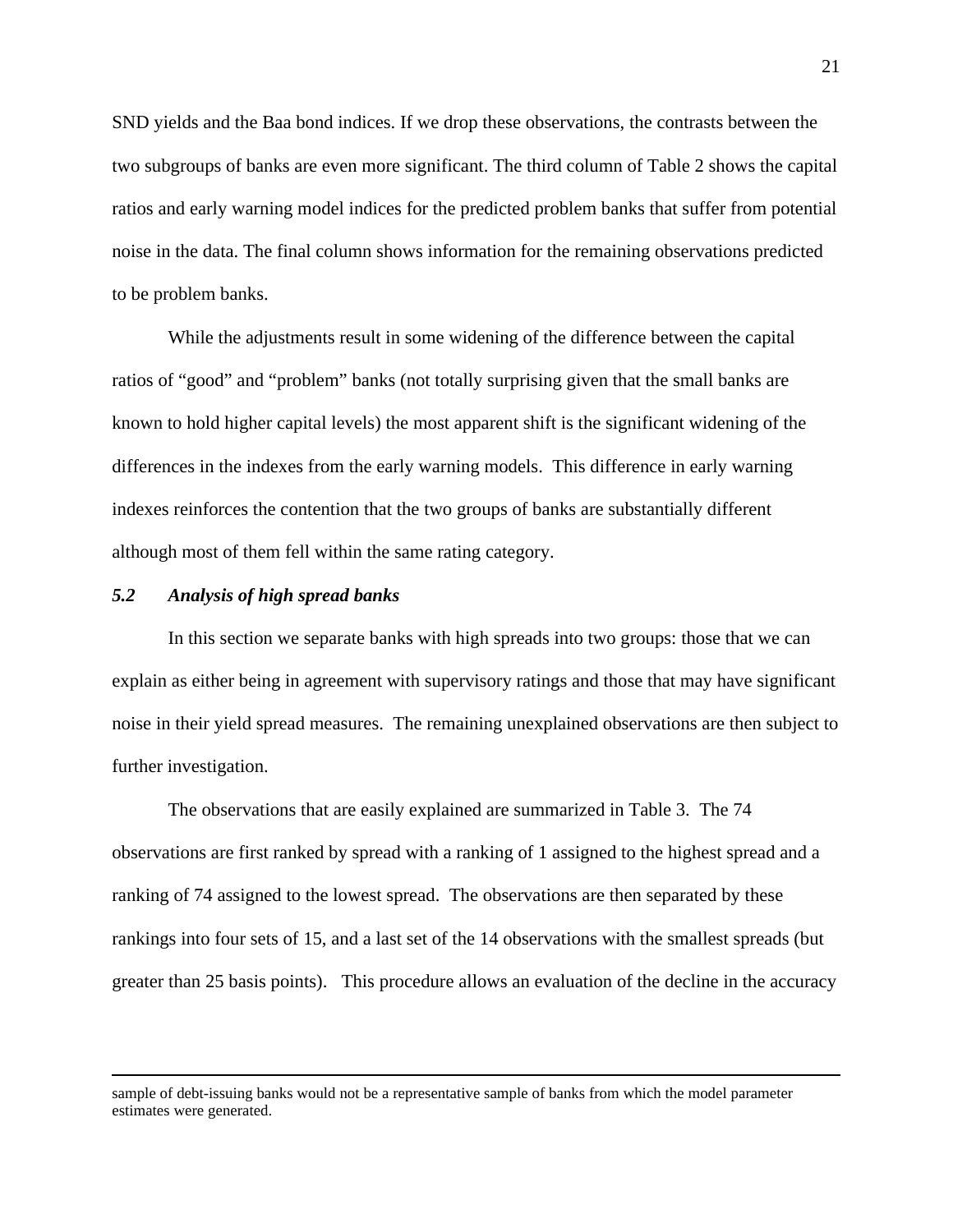SND yields and the Baa bond indices. If we drop these observations, the contrasts between the two subgroups of banks are even more significant. The third column of Table 2 shows the capital ratios and early warning model indices for the predicted problem banks that suffer from potential noise in the data. The final column shows information for the remaining observations predicted to be problem banks.

While the adjustments result in some widening of the difference between the capital ratios of "good" and "problem" banks (not totally surprising given that the small banks are known to hold higher capital levels) the most apparent shift is the significant widening of the differences in the indexes from the early warning models. This difference in early warning indexes reinforces the contention that the two groups of banks are substantially different although most of them fell within the same rating category.

#### *5.2 Analysis of high spread banks*

 $\overline{a}$ 

In this section we separate banks with high spreads into two groups: those that we can explain as either being in agreement with supervisory ratings and those that may have significant noise in their yield spread measures. The remaining unexplained observations are then subject to further investigation.

The observations that are easily explained are summarized in Table 3. The 74 observations are first ranked by spread with a ranking of 1 assigned to the highest spread and a ranking of 74 assigned to the lowest spread. The observations are then separated by these rankings into four sets of 15, and a last set of the 14 observations with the smallest spreads (but greater than 25 basis points). This procedure allows an evaluation of the decline in the accuracy

sample of debt-issuing banks would not be a representative sample of banks from which the model parameter estimates were generated.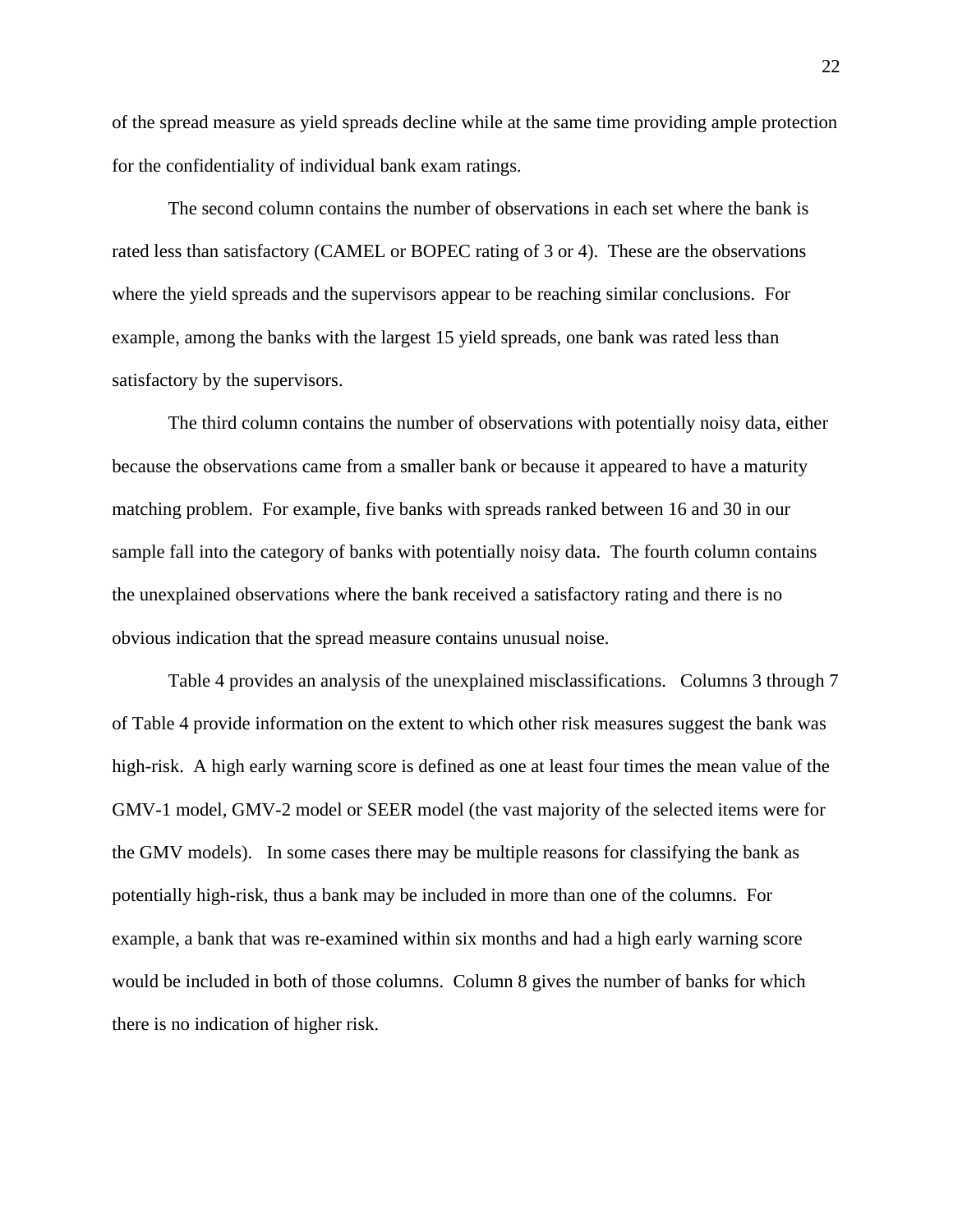of the spread measure as yield spreads decline while at the same time providing ample protection for the confidentiality of individual bank exam ratings.

The second column contains the number of observations in each set where the bank is rated less than satisfactory (CAMEL or BOPEC rating of 3 or 4). These are the observations where the yield spreads and the supervisors appear to be reaching similar conclusions. For example, among the banks with the largest 15 yield spreads, one bank was rated less than satisfactory by the supervisors.

The third column contains the number of observations with potentially noisy data, either because the observations came from a smaller bank or because it appeared to have a maturity matching problem. For example, five banks with spreads ranked between 16 and 30 in our sample fall into the category of banks with potentially noisy data. The fourth column contains the unexplained observations where the bank received a satisfactory rating and there is no obvious indication that the spread measure contains unusual noise.

Table 4 provides an analysis of the unexplained misclassifications. Columns 3 through 7 of Table 4 provide information on the extent to which other risk measures suggest the bank was high-risk. A high early warning score is defined as one at least four times the mean value of the GMV-1 model, GMV-2 model or SEER model (the vast majority of the selected items were for the GMV models). In some cases there may be multiple reasons for classifying the bank as potentially high-risk, thus a bank may be included in more than one of the columns. For example, a bank that was re-examined within six months and had a high early warning score would be included in both of those columns. Column 8 gives the number of banks for which there is no indication of higher risk.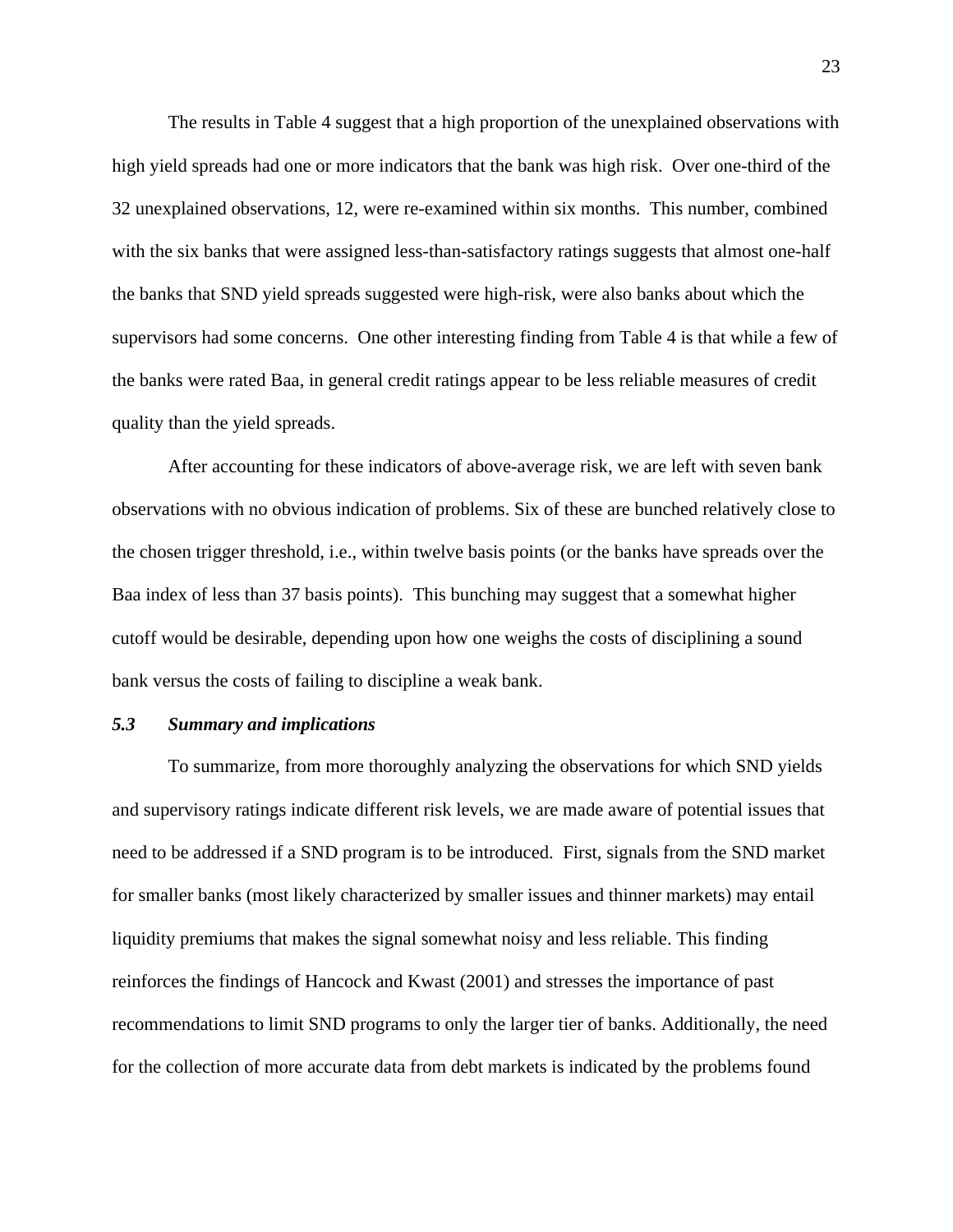The results in Table 4 suggest that a high proportion of the unexplained observations with high yield spreads had one or more indicators that the bank was high risk. Over one-third of the 32 unexplained observations, 12, were re-examined within six months. This number, combined with the six banks that were assigned less-than-satisfactory ratings suggests that almost one-half the banks that SND yield spreads suggested were high-risk, were also banks about which the supervisors had some concerns. One other interesting finding from Table 4 is that while a few of the banks were rated Baa, in general credit ratings appear to be less reliable measures of credit quality than the yield spreads.

After accounting for these indicators of above-average risk, we are left with seven bank observations with no obvious indication of problems. Six of these are bunched relatively close to the chosen trigger threshold, i.e., within twelve basis points (or the banks have spreads over the Baa index of less than 37 basis points). This bunching may suggest that a somewhat higher cutoff would be desirable, depending upon how one weighs the costs of disciplining a sound bank versus the costs of failing to discipline a weak bank.

#### *5.3 Summary and implications*

To summarize, from more thoroughly analyzing the observations for which SND yields and supervisory ratings indicate different risk levels, we are made aware of potential issues that need to be addressed if a SND program is to be introduced. First, signals from the SND market for smaller banks (most likely characterized by smaller issues and thinner markets) may entail liquidity premiums that makes the signal somewhat noisy and less reliable. This finding reinforces the findings of Hancock and Kwast (2001) and stresses the importance of past recommendations to limit SND programs to only the larger tier of banks. Additionally, the need for the collection of more accurate data from debt markets is indicated by the problems found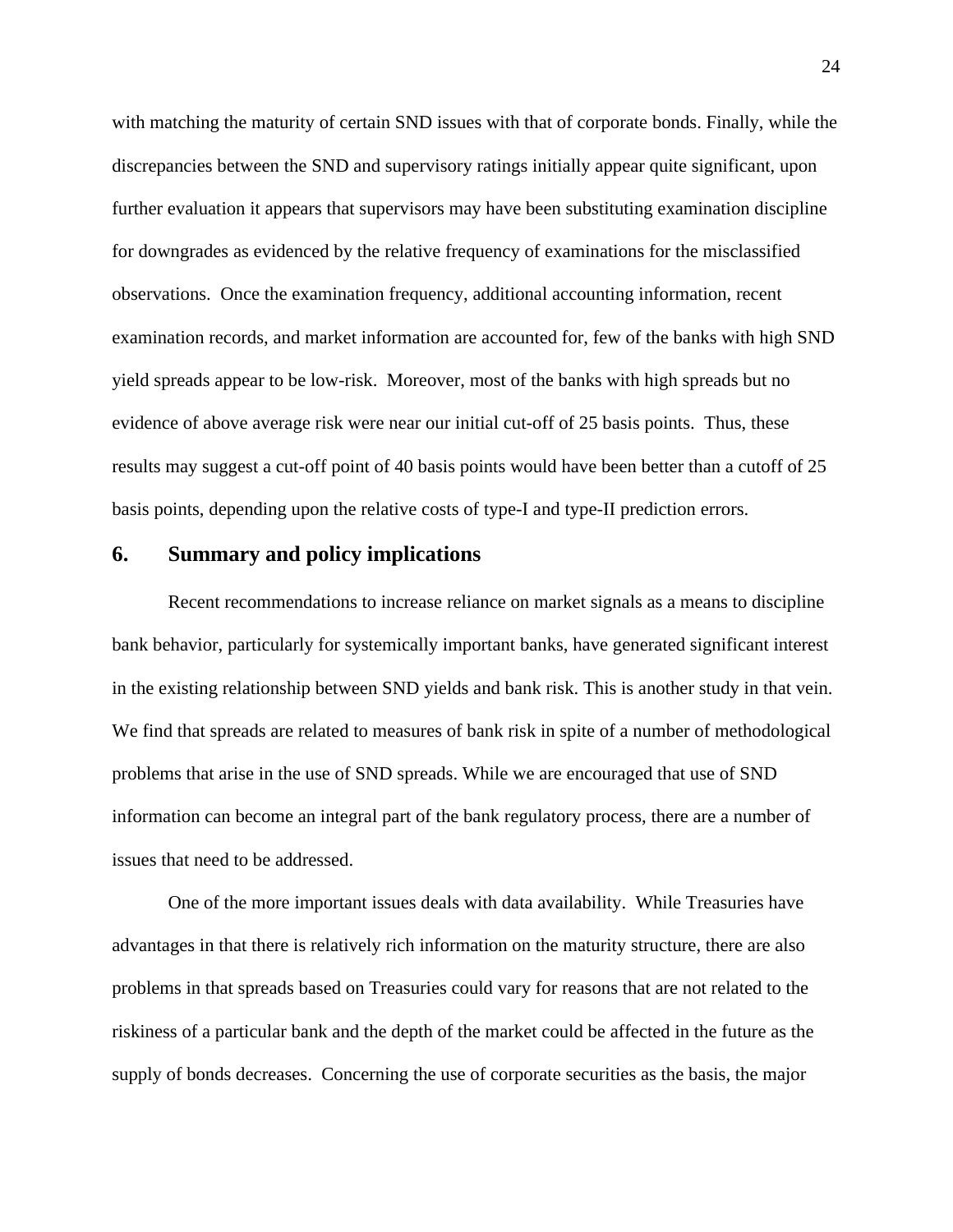with matching the maturity of certain SND issues with that of corporate bonds. Finally, while the discrepancies between the SND and supervisory ratings initially appear quite significant, upon further evaluation it appears that supervisors may have been substituting examination discipline for downgrades as evidenced by the relative frequency of examinations for the misclassified observations. Once the examination frequency, additional accounting information, recent examination records, and market information are accounted for, few of the banks with high SND yield spreads appear to be low-risk. Moreover, most of the banks with high spreads but no evidence of above average risk were near our initial cut-off of 25 basis points. Thus, these results may suggest a cut-off point of 40 basis points would have been better than a cutoff of 25 basis points, depending upon the relative costs of type-I and type-II prediction errors.

#### **6. Summary and policy implications**

Recent recommendations to increase reliance on market signals as a means to discipline bank behavior, particularly for systemically important banks, have generated significant interest in the existing relationship between SND yields and bank risk. This is another study in that vein. We find that spreads are related to measures of bank risk in spite of a number of methodological problems that arise in the use of SND spreads. While we are encouraged that use of SND information can become an integral part of the bank regulatory process, there are a number of issues that need to be addressed.

One of the more important issues deals with data availability. While Treasuries have advantages in that there is relatively rich information on the maturity structure, there are also problems in that spreads based on Treasuries could vary for reasons that are not related to the riskiness of a particular bank and the depth of the market could be affected in the future as the supply of bonds decreases. Concerning the use of corporate securities as the basis, the major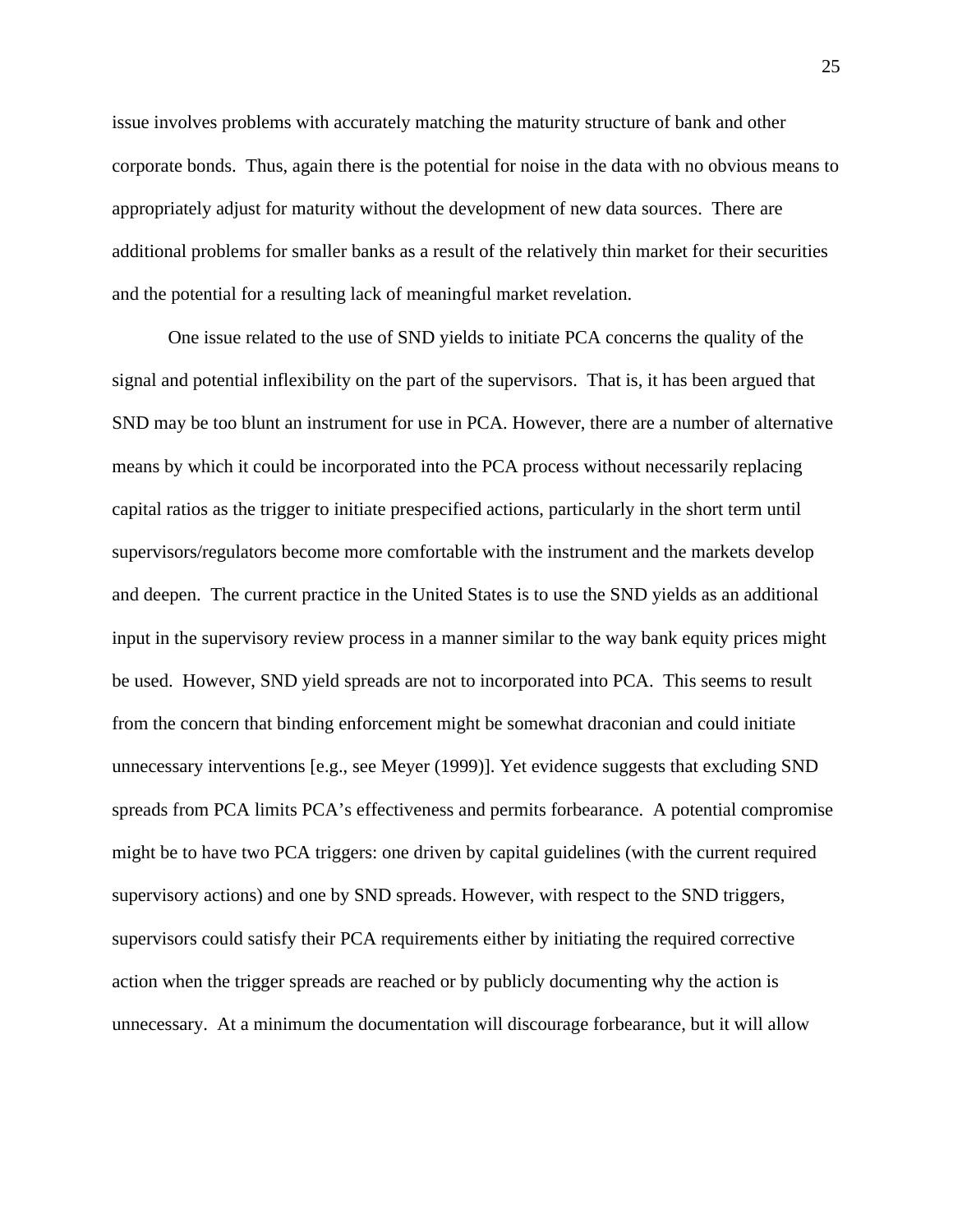issue involves problems with accurately matching the maturity structure of bank and other corporate bonds. Thus, again there is the potential for noise in the data with no obvious means to appropriately adjust for maturity without the development of new data sources. There are additional problems for smaller banks as a result of the relatively thin market for their securities and the potential for a resulting lack of meaningful market revelation.

One issue related to the use of SND yields to initiate PCA concerns the quality of the signal and potential inflexibility on the part of the supervisors. That is, it has been argued that SND may be too blunt an instrument for use in PCA. However, there are a number of alternative means by which it could be incorporated into the PCA process without necessarily replacing capital ratios as the trigger to initiate prespecified actions, particularly in the short term until supervisors/regulators become more comfortable with the instrument and the markets develop and deepen. The current practice in the United States is to use the SND yields as an additional input in the supervisory review process in a manner similar to the way bank equity prices might be used. However, SND yield spreads are not to incorporated into PCA. This seems to result from the concern that binding enforcement might be somewhat draconian and could initiate unnecessary interventions [e.g., see Meyer (1999)]. Yet evidence suggests that excluding SND spreads from PCA limits PCA's effectiveness and permits forbearance. A potential compromise might be to have two PCA triggers: one driven by capital guidelines (with the current required supervisory actions) and one by SND spreads. However, with respect to the SND triggers, supervisors could satisfy their PCA requirements either by initiating the required corrective action when the trigger spreads are reached or by publicly documenting why the action is unnecessary. At a minimum the documentation will discourage forbearance, but it will allow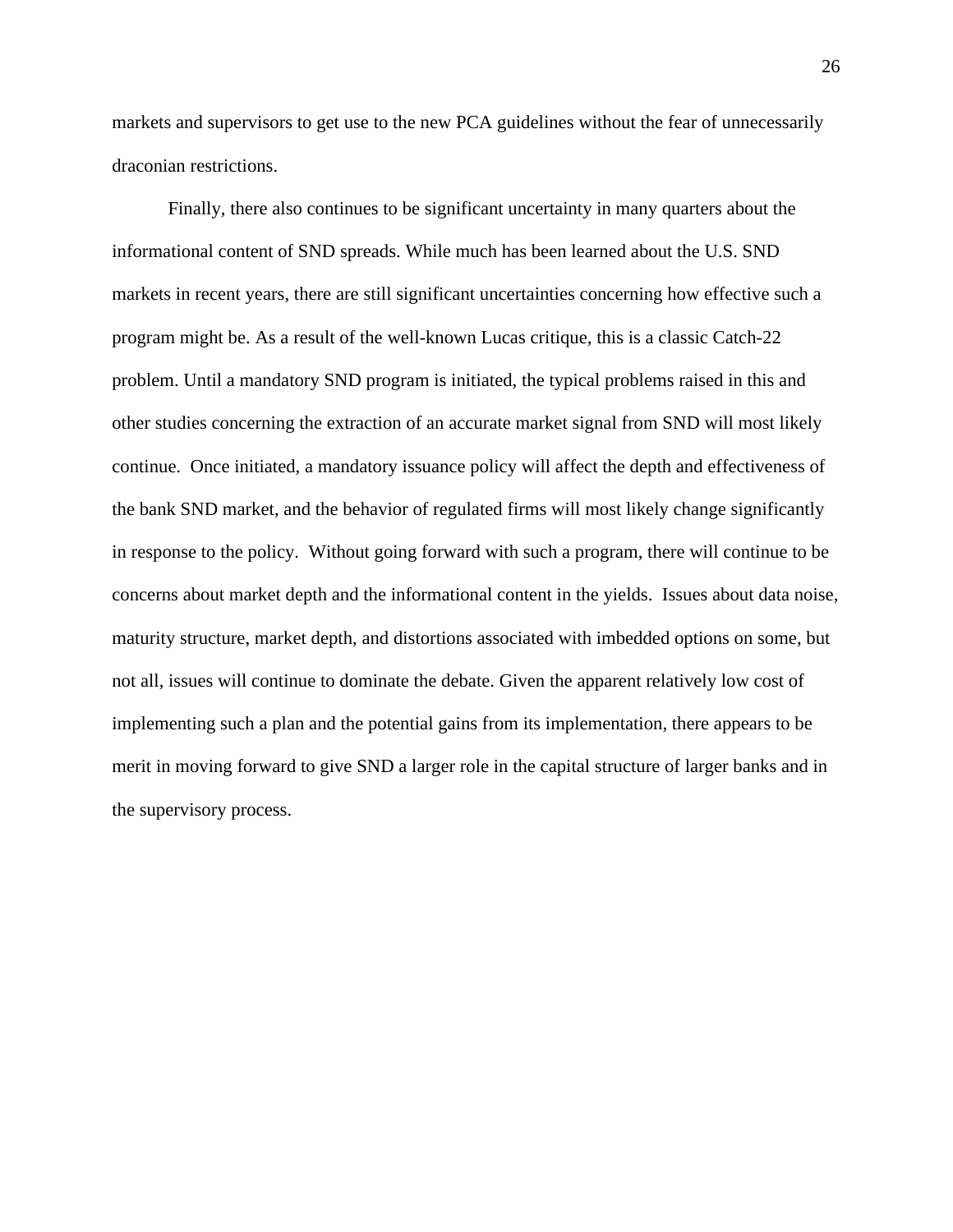markets and supervisors to get use to the new PCA guidelines without the fear of unnecessarily draconian restrictions.

Finally, there also continues to be significant uncertainty in many quarters about the informational content of SND spreads. While much has been learned about the U.S. SND markets in recent years, there are still significant uncertainties concerning how effective such a program might be. As a result of the well-known Lucas critique, this is a classic Catch-22 problem. Until a mandatory SND program is initiated, the typical problems raised in this and other studies concerning the extraction of an accurate market signal from SND will most likely continue. Once initiated, a mandatory issuance policy will affect the depth and effectiveness of the bank SND market, and the behavior of regulated firms will most likely change significantly in response to the policy. Without going forward with such a program, there will continue to be concerns about market depth and the informational content in the yields. Issues about data noise, maturity structure, market depth, and distortions associated with imbedded options on some, but not all, issues will continue to dominate the debate. Given the apparent relatively low cost of implementing such a plan and the potential gains from its implementation, there appears to be merit in moving forward to give SND a larger role in the capital structure of larger banks and in the supervisory process.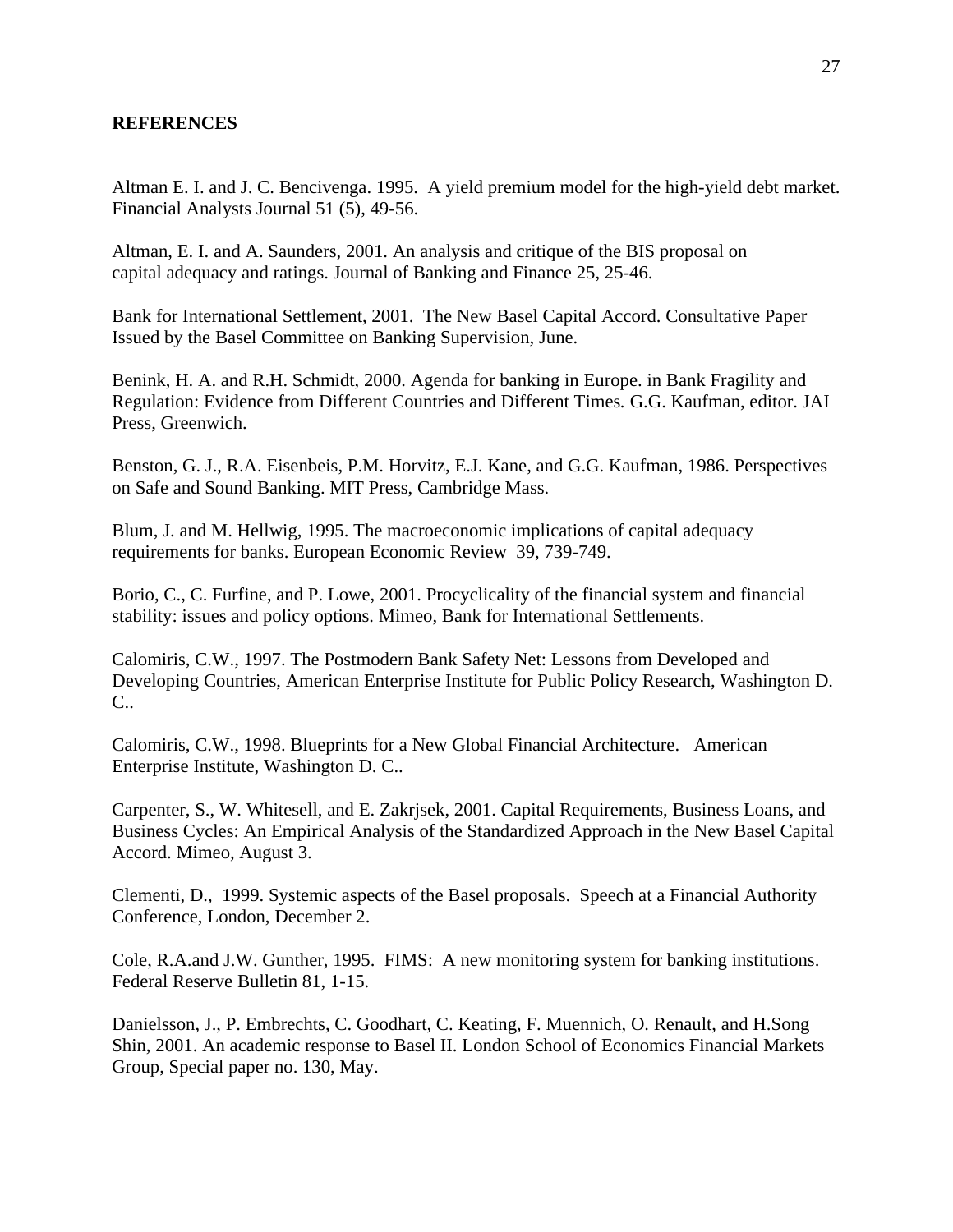#### **REFERENCES**

Altman E. I. and J. C. Bencivenga. 1995. A yield premium model for the high-yield debt market. Financial Analysts Journal 51 (5), 49-56.

Altman, E. I. and A. Saunders, 2001. An analysis and critique of the BIS proposal on capital adequacy and ratings. Journal of Banking and Finance 25, 25-46.

Bank for International Settlement, 2001. The New Basel Capital Accord. Consultative Paper Issued by the Basel Committee on Banking Supervision, June.

Benink, H. A. and R.H. Schmidt, 2000. Agenda for banking in Europe. in Bank Fragility and Regulation: Evidence from Different Countries and Different Times*.* G.G. Kaufman, editor. JAI Press, Greenwich.

Benston, G. J., R.A. Eisenbeis, P.M. Horvitz, E.J. Kane, and G.G. Kaufman, 1986. Perspectives on Safe and Sound Banking. MIT Press, Cambridge Mass.

Blum, J. and M. Hellwig, 1995. The macroeconomic implications of capital adequacy requirements for banks. European Economic Review 39, 739-749.

Borio, C., C. Furfine, and P. Lowe, 2001. Procyclicality of the financial system and financial stability: issues and policy options. Mimeo, Bank for International Settlements.

Calomiris, C.W., 1997. The Postmodern Bank Safety Net: Lessons from Developed and Developing Countries, American Enterprise Institute for Public Policy Research, Washington D. C..

Calomiris, C.W., 1998. Blueprints for a New Global Financial Architecture. American Enterprise Institute, Washington D. C..

Carpenter, S., W. Whitesell, and E. Zakrjsek, 2001. Capital Requirements, Business Loans, and Business Cycles: An Empirical Analysis of the Standardized Approach in the New Basel Capital Accord. Mimeo, August 3.

Clementi, D., 1999. Systemic aspects of the Basel proposals. Speech at a Financial Authority Conference, London, December 2.

Cole, R.A.and J.W. Gunther, 1995. FIMS: A new monitoring system for banking institutions. Federal Reserve Bulletin 81, 1-15.

Danielsson, J., P. Embrechts, C. Goodhart, C. Keating, F. Muennich, O. Renault, and H.Song Shin, 2001. An academic response to Basel II. London School of Economics Financial Markets Group, Special paper no. 130, May.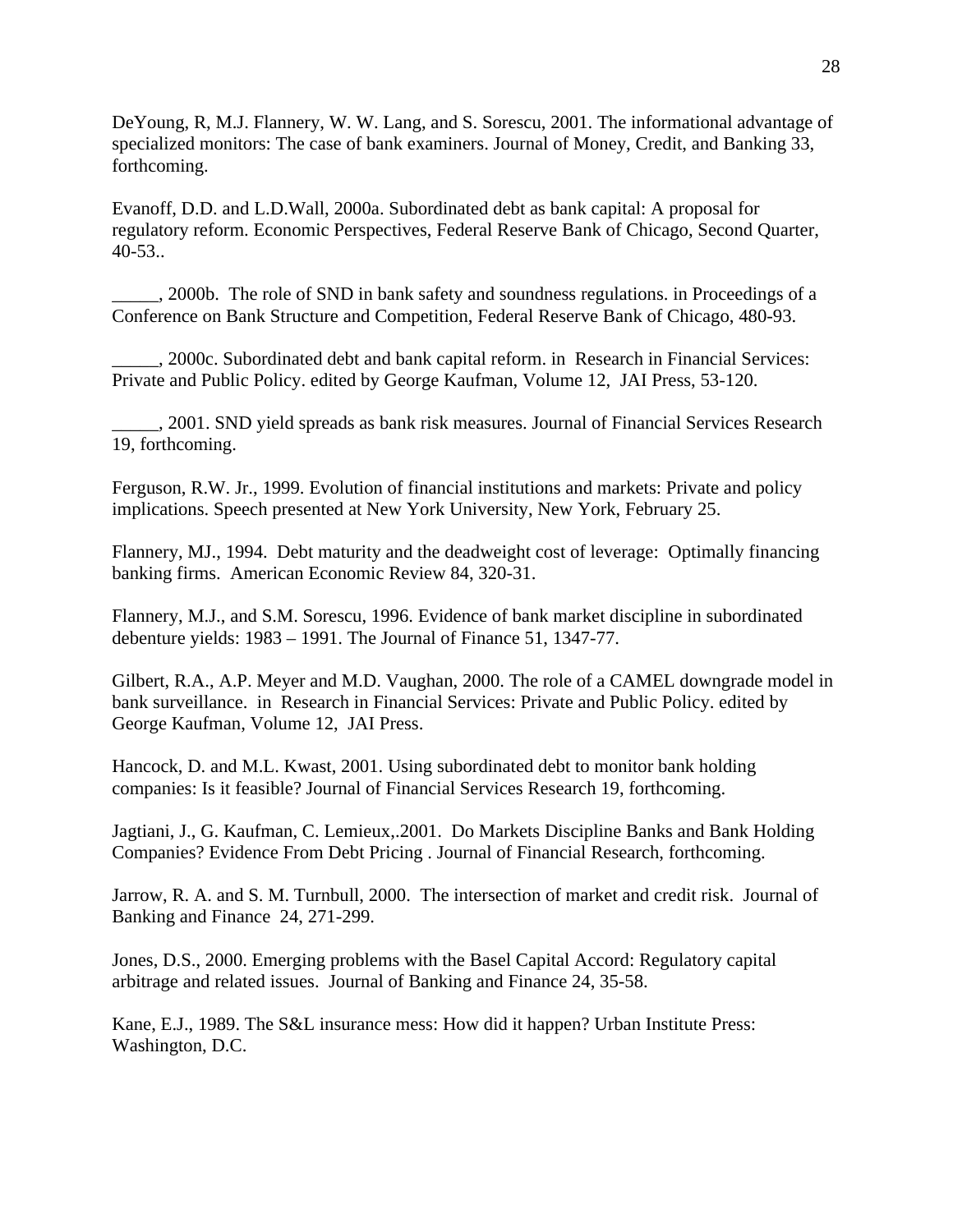DeYoung, R, M.J. Flannery, W. W. Lang, and S. Sorescu, 2001. The informational advantage of specialized monitors: The case of bank examiners. Journal of Money, Credit, and Banking 33, forthcoming.

Evanoff, D.D. and L.D.Wall, 2000a. Subordinated debt as bank capital: A proposal for regulatory reform. Economic Perspectives, Federal Reserve Bank of Chicago, Second Quarter,  $40 - 53$ .

\_\_\_\_\_, 2000b. The role of SND in bank safety and soundness regulations. in Proceedings of a Conference on Bank Structure and Competition, Federal Reserve Bank of Chicago, 480-93.

\_\_\_\_\_, 2000c. Subordinated debt and bank capital reform. in Research in Financial Services: Private and Public Policy. edited by George Kaufman, Volume 12, JAI Press, 53-120.

\_\_\_\_\_, 2001. SND yield spreads as bank risk measures. Journal of Financial Services Research 19, forthcoming.

Ferguson, R.W. Jr., 1999. Evolution of financial institutions and markets: Private and policy implications. Speech presented at New York University, New York, February 25.

Flannery, MJ., 1994. Debt maturity and the deadweight cost of leverage: Optimally financing banking firms. American Economic Review 84, 320-31.

Flannery, M.J., and S.M. Sorescu, 1996. Evidence of bank market discipline in subordinated debenture yields: 1983 – 1991. The Journal of Finance 51, 1347-77.

Gilbert, R.A., A.P. Meyer and M.D. Vaughan, 2000. The role of a CAMEL downgrade model in bank surveillance. in Research in Financial Services: Private and Public Policy. edited by George Kaufman, Volume 12, JAI Press.

Hancock, D. and M.L. Kwast, 2001. Using subordinated debt to monitor bank holding companies: Is it feasible? Journal of Financial Services Research 19, forthcoming.

Jagtiani, J., G. Kaufman, C. Lemieux,.2001. Do Markets Discipline Banks and Bank Holding Companies? Evidence From Debt Pricing . Journal of Financial Research, forthcoming.

Jarrow, R. A. and S. M. Turnbull, 2000. The intersection of market and credit risk. Journal of Banking and Finance 24, 271-299.

Jones, D.S., 2000. Emerging problems with the Basel Capital Accord: Regulatory capital arbitrage and related issues. Journal of Banking and Finance 24, 35-58.

Kane, E.J., 1989. The S&L insurance mess: How did it happen? Urban Institute Press: Washington, D.C.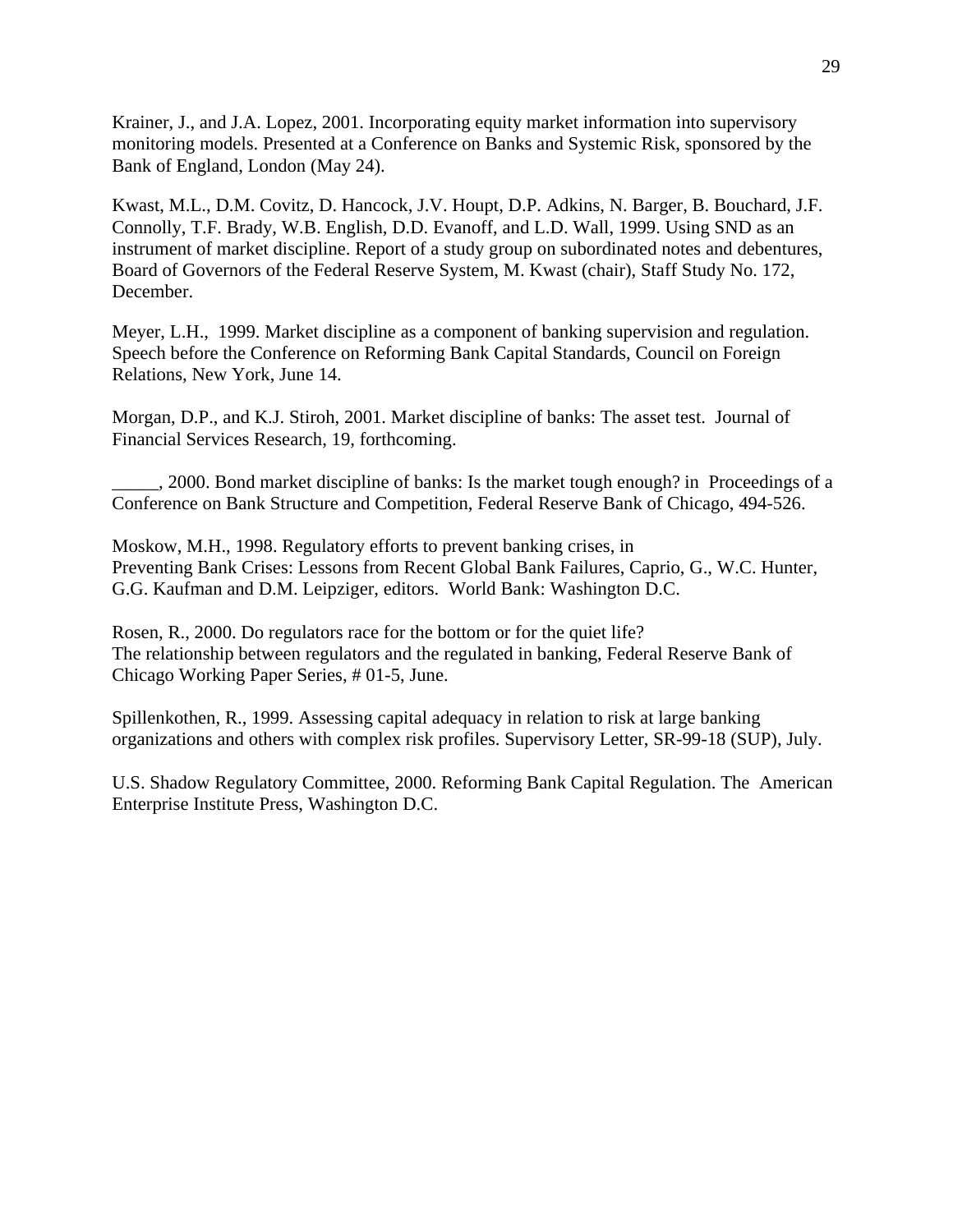Krainer, J., and J.A. Lopez, 2001. Incorporating equity market information into supervisory monitoring models. Presented at a Conference on Banks and Systemic Risk, sponsored by the Bank of England, London (May 24).

Kwast, M.L., D.M. Covitz, D. Hancock, J.V. Houpt, D.P. Adkins, N. Barger, B. Bouchard, J.F. Connolly, T.F. Brady, W.B. English, D.D. Evanoff, and L.D. Wall, 1999. Using SND as an instrument of market discipline. Report of a study group on subordinated notes and debentures, Board of Governors of the Federal Reserve System, M. Kwast (chair), Staff Study No. 172, December.

Meyer, L.H., 1999. Market discipline as a component of banking supervision and regulation. Speech before the Conference on Reforming Bank Capital Standards, Council on Foreign Relations, New York, June 14.

Morgan, D.P., and K.J. Stiroh, 2001. Market discipline of banks: The asset test. Journal of Financial Services Research, 19, forthcoming.

\_\_\_\_\_, 2000. Bond market discipline of banks: Is the market tough enough? in Proceedings of a Conference on Bank Structure and Competition, Federal Reserve Bank of Chicago, 494-526.

Moskow, M.H., 1998. Regulatory efforts to prevent banking crises, in Preventing Bank Crises: Lessons from Recent Global Bank Failures, Caprio, G., W.C. Hunter, G.G. Kaufman and D.M. Leipziger, editors. World Bank: Washington D.C.

Rosen, R., 2000. Do regulators race for the bottom or for the quiet life? The relationship between regulators and the regulated in banking, Federal Reserve Bank of Chicago Working Paper Series, # 01-5, June.

Spillenkothen, R., 1999. Assessing capital adequacy in relation to risk at large banking organizations and others with complex risk profiles. Supervisory Letter, SR-99-18 (SUP), July.

U.S. Shadow Regulatory Committee, 2000. Reforming Bank Capital Regulation. The American Enterprise Institute Press, Washington D.C.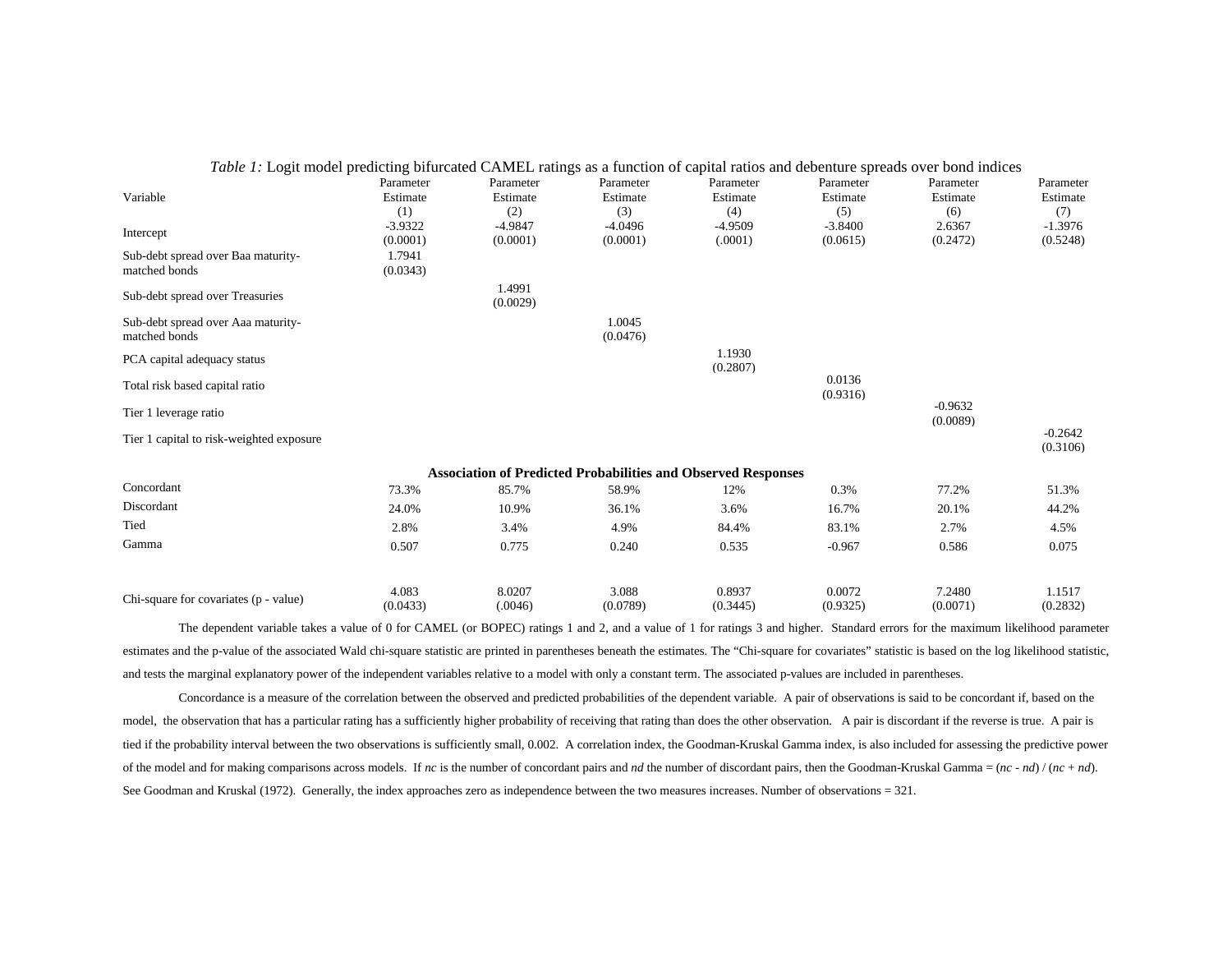| Table 1: Logit model predicting bifurcated CAMEL ratings as a function of capital ratios and debenture spreads over bond indices |                   |                   |                                                                      |                    |                    |                    |                    |
|----------------------------------------------------------------------------------------------------------------------------------|-------------------|-------------------|----------------------------------------------------------------------|--------------------|--------------------|--------------------|--------------------|
|                                                                                                                                  | Parameter         | Parameter         | Parameter                                                            | Parameter          | Parameter          | Parameter          | Parameter          |
| Variable                                                                                                                         | Estimate          | Estimate          | Estimate                                                             | Estimate           | Estimate           | Estimate           | Estimate           |
|                                                                                                                                  | (1)               | (2)               | (3)                                                                  | (4)                | (5)                | (6)                | (7)                |
| Intercept                                                                                                                        | $-3.9322$         | $-4.9847$         | $-4.0496$                                                            | $-4.9509$          | $-3.8400$          | 2.6367             | $-1.3976$          |
|                                                                                                                                  | (0.0001)          | (0.0001)          | (0.0001)                                                             | (.0001)            | (0.0615)           | (0.2472)           | (0.5248)           |
| Sub-debt spread over Baa maturity-                                                                                               | 1.7941            |                   |                                                                      |                    |                    |                    |                    |
| matched bonds                                                                                                                    | (0.0343)          |                   |                                                                      |                    |                    |                    |                    |
| Sub-debt spread over Treasuries                                                                                                  |                   | 1.4991            |                                                                      |                    |                    |                    |                    |
|                                                                                                                                  |                   | (0.0029)          |                                                                      |                    |                    |                    |                    |
| Sub-debt spread over Aaa maturity-                                                                                               |                   |                   | 1.0045                                                               |                    |                    |                    |                    |
| matched bonds                                                                                                                    |                   |                   | (0.0476)                                                             |                    |                    |                    |                    |
| PCA capital adequacy status                                                                                                      |                   |                   |                                                                      | 1.1930             |                    |                    |                    |
|                                                                                                                                  |                   |                   |                                                                      | (0.2807)           |                    |                    |                    |
| Total risk based capital ratio                                                                                                   |                   |                   |                                                                      |                    | 0.0136<br>(0.9316) |                    |                    |
|                                                                                                                                  |                   |                   |                                                                      |                    |                    | $-0.9632$          |                    |
| Tier 1 leverage ratio                                                                                                            |                   |                   |                                                                      |                    |                    | (0.0089)           |                    |
| Tier 1 capital to risk-weighted exposure                                                                                         |                   |                   |                                                                      |                    |                    |                    | $-0.2642$          |
|                                                                                                                                  |                   |                   |                                                                      |                    |                    |                    | (0.3106)           |
|                                                                                                                                  |                   |                   | <b>Association of Predicted Probabilities and Observed Responses</b> |                    |                    |                    |                    |
| Concordant                                                                                                                       | 73.3%             | 85.7%             | 58.9%                                                                | 12%                | 0.3%               | 77.2%              | 51.3%              |
| Discordant                                                                                                                       | 24.0%             | 10.9%             | 36.1%                                                                | 3.6%               | 16.7%              | 20.1%              | 44.2%              |
| Tied                                                                                                                             | 2.8%              | 3.4%              | 4.9%                                                                 | 84.4%              | 83.1%              | 2.7%               | 4.5%               |
| Gamma                                                                                                                            | 0.507             | 0.775             | 0.240                                                                | 0.535              | $-0.967$           | 0.586              | 0.075              |
|                                                                                                                                  |                   |                   |                                                                      |                    |                    |                    |                    |
|                                                                                                                                  |                   |                   |                                                                      |                    |                    |                    |                    |
| Chi-square for covariates (p - value)                                                                                            | 4.083<br>(0.0433) | 8.0207<br>(.0046) | 3.088<br>(0.0789)                                                    | 0.8937<br>(0.3445) | 0.0072<br>(0.9325) | 7.2480<br>(0.0071) | 1.1517<br>(0.2832) |
|                                                                                                                                  |                   |                   |                                                                      |                    |                    |                    |                    |

The dependent variable takes a value of 0 for CAMEL (or BOPEC) ratings 1 and 2, and a value of 1 for ratings 3 and higher. Standard errors for the maximum likelihood parameter estimates and the p-value of the associated Wald chi-square statistic are printed in parentheses beneath the estimates. The "Chi-square for covariates" statistic is based on the log likelihood statistic, and tests the marginal explanatory power of the independent variables relative to a model with only a constant term. The associated p-values are included in parentheses.

Concordance is a measure of the correlation between the observed and predicted probabilities of the dependent variable. A pair of observations is said to be concordant if, based on the model, the observation that has a particular rating has a sufficiently higher probability of receiving that rating than does the other observation. A pair is discordant if the reverse is true. A pair is tied if the probability interval between the two observations is sufficiently small, 0.002. A correlation index, the Goodman-Kruskal Gamma index, is also included for assessing the predictive power of the model and for making comparisons across models. If nc is the number of concordant pairs and nd the number of discordant pairs, then the Goodman-Kruskal Gamma =  $(nc - nd)/(nc + nd)$ . See Goodman and Kruskal (1972). Generally, the index approaches zero as independence between the two measures increases. Number of observations = 321.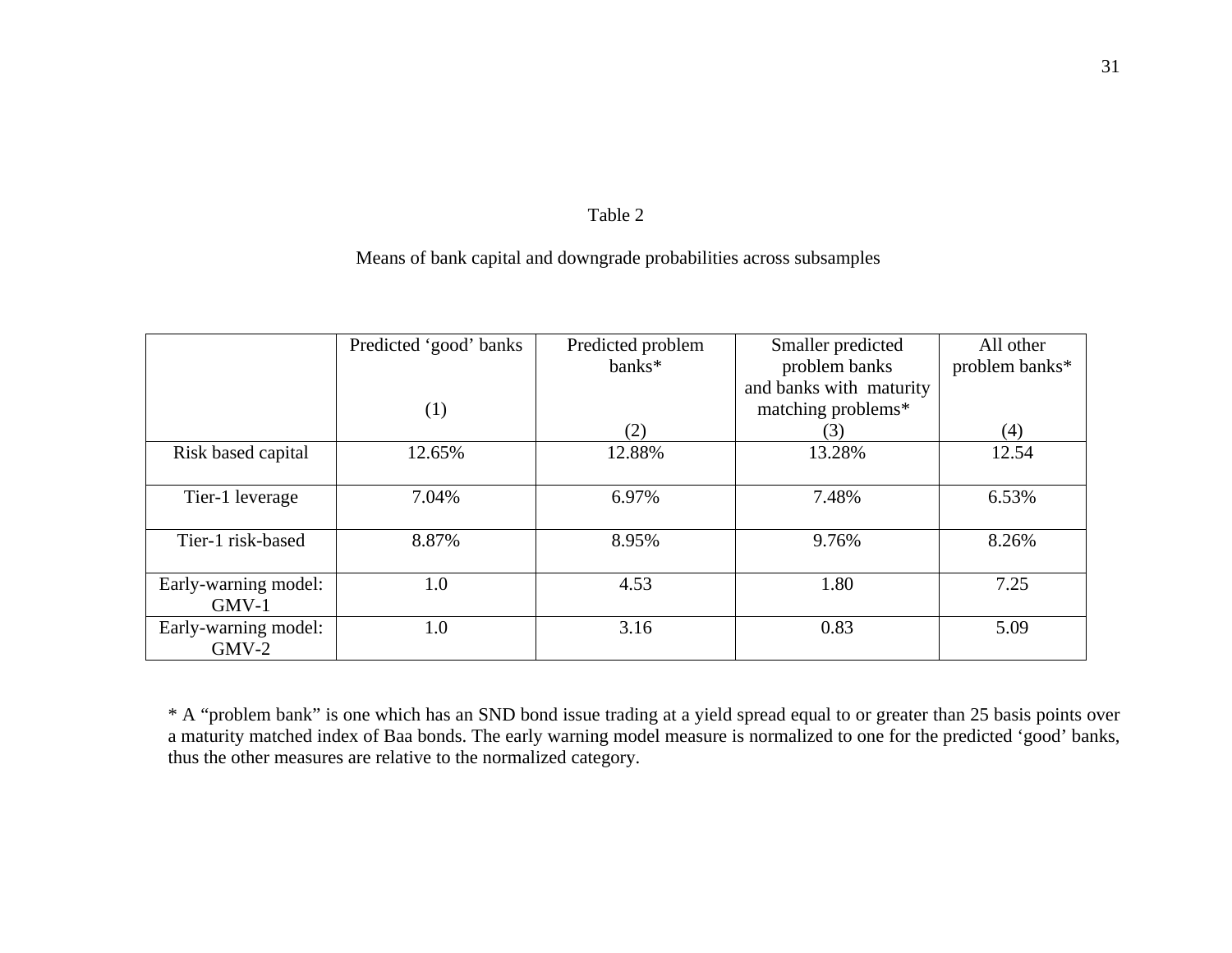#### Table 2

#### Means of bank capital and downgrade probabilities across subsamples

|                      | Predicted 'good' banks | Predicted problem<br>Smaller predicted |                         | All other      |
|----------------------|------------------------|----------------------------------------|-------------------------|----------------|
|                      |                        | banks*                                 | problem banks           | problem banks* |
|                      |                        |                                        | and banks with maturity |                |
|                      | (1)                    |                                        | matching problems*      |                |
|                      |                        | (2)                                    | (3)                     | (4)            |
| Risk based capital   | 12.65%                 | 12.88%                                 | 13.28%                  | 12.54          |
|                      |                        |                                        |                         |                |
| Tier-1 leverage      | 7.04%                  | 6.97%                                  | 7.48%                   | 6.53%          |
|                      |                        |                                        |                         |                |
| Tier-1 risk-based    | 8.87%                  | 8.95%                                  | 9.76%                   | 8.26%          |
|                      |                        |                                        |                         |                |
| Early-warning model: | 1.0                    | 4.53                                   | 1.80                    | 7.25           |
| $GMV-1$              |                        |                                        |                         |                |
| Early-warning model: | 1.0                    | 3.16                                   | 0.83                    | 5.09           |
| $GMV-2$              |                        |                                        |                         |                |

\* A "problem bank" is one which has an SND bond issue trading at a yield spread equal to or greater than 25 basis points over a maturity matched index of Baa bonds. The early warning model measure is normalized to one for the predicted 'good' banks, thus the other measures are relative to the normalized category.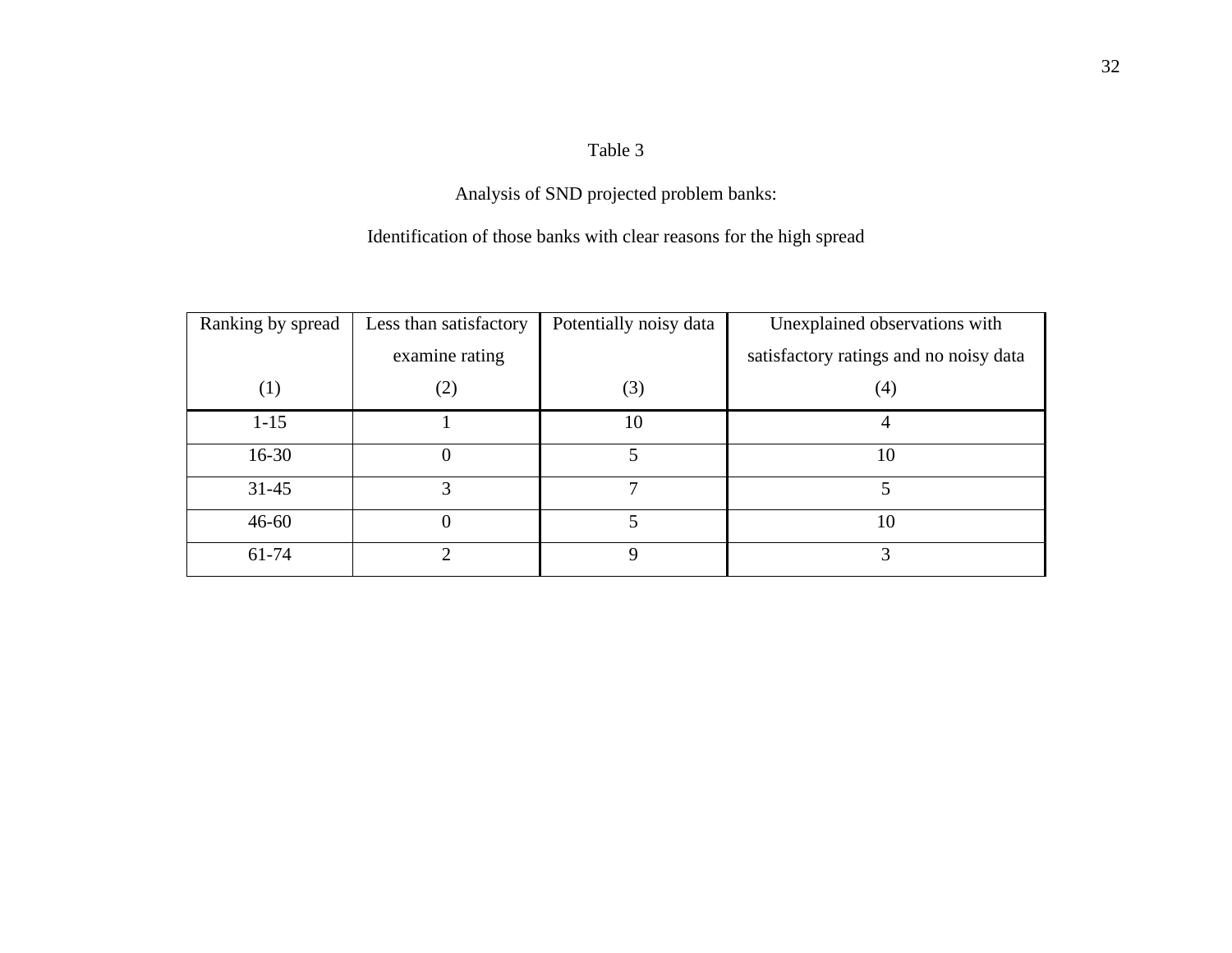## Table 3

Analysis of SND projected problem banks:

## Identification of those banks with clear reasons for the high spread

| Ranking by spread | Less than satisfactory | Potentially noisy data | Unexplained observations with          |  |  |
|-------------------|------------------------|------------------------|----------------------------------------|--|--|
|                   | examine rating         |                        | satisfactory ratings and no noisy data |  |  |
| (1)               | (2)                    | (3)                    | (4)                                    |  |  |
| $1 - 15$          |                        | 10                     | 4                                      |  |  |
| $16-30$           | O                      |                        | 10                                     |  |  |
| $31 - 45$         | 3                      |                        |                                        |  |  |
| $46 - 60$         | O                      |                        | 10                                     |  |  |
| 61-74             | ◠                      | Q                      | 3                                      |  |  |